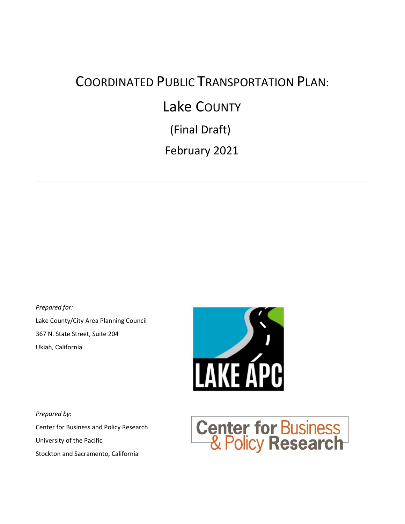# COORDINATED PUBLIC TRANSPORTATION PLAN:

Lake COUNTY

(Final Draft)

February 2021

*Prepared for:* Lake County/City Area Planning Council 367 N. State Street, Suite 204 Ukiah, California



*Prepared by*: Center for Business and Policy Research University of the Pacific Stockton and Sacramento, California

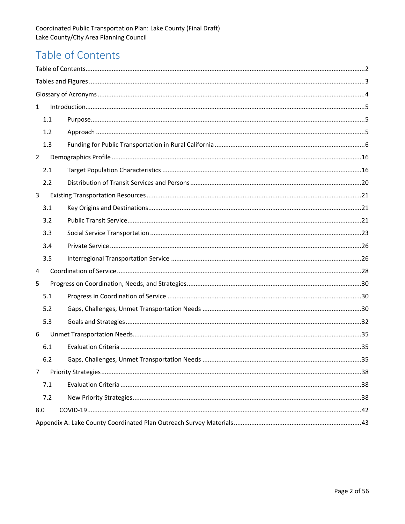# <span id="page-1-0"></span>Table of Contents

| $\mathbf{1}$   |  |
|----------------|--|
| 1.1            |  |
| 1.2            |  |
| 1.3            |  |
| $\overline{2}$ |  |
| 2.1            |  |
| 2.2            |  |
| 3              |  |
| 3.1            |  |
| 3.2            |  |
| 3.3            |  |
| 3.4            |  |
| 3.5            |  |
| 4              |  |
| 5              |  |
| 5.1            |  |
| 5.2            |  |
| 5.3            |  |
| 6              |  |
| 6.1            |  |
| 6.2            |  |
| $\overline{7}$ |  |
| 7.1            |  |
| 7.2            |  |
| 8.0            |  |
|                |  |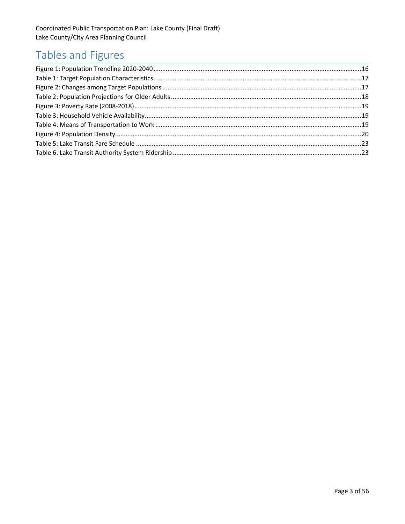# <span id="page-2-0"></span>**Tables and Figures**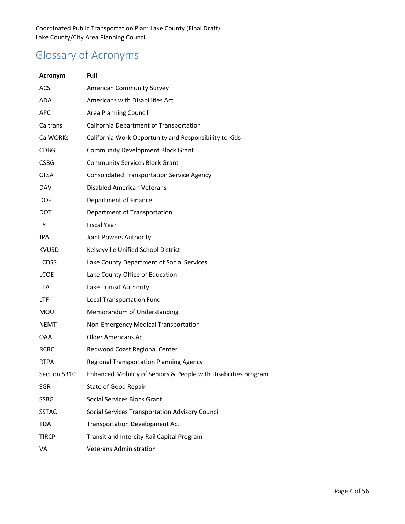# <span id="page-3-0"></span>Glossary of Acronyms

| Acronym         | Full                                                            |
|-----------------|-----------------------------------------------------------------|
| <b>ACS</b>      | <b>American Community Survey</b>                                |
| <b>ADA</b>      | Americans with Disabilities Act                                 |
| <b>APC</b>      | <b>Area Planning Council</b>                                    |
| Caltrans        | California Department of Transportation                         |
| <b>CalWORKs</b> | California Work Opportunity and Responsibility to Kids          |
| <b>CDBG</b>     | <b>Community Development Block Grant</b>                        |
| <b>CSBG</b>     | <b>Community Services Block Grant</b>                           |
| <b>CTSA</b>     | <b>Consolidated Transportation Service Agency</b>               |
| DAV             | <b>Disabled American Veterans</b>                               |
| <b>DOF</b>      | Department of Finance                                           |
| <b>DOT</b>      | Department of Transportation                                    |
| FY.             | <b>Fiscal Year</b>                                              |
| <b>JPA</b>      | Joint Powers Authority                                          |
| <b>KVUSD</b>    | Kelseyville Unified School District                             |
| <b>LCDSS</b>    | Lake County Department of Social Services                       |
| <b>LCOE</b>     | Lake County Office of Education                                 |
| <b>LTA</b>      | Lake Transit Authority                                          |
| <b>LTF</b>      | <b>Local Transportation Fund</b>                                |
| <b>MOU</b>      | Memorandum of Understanding                                     |
| <b>NEMT</b>     | Non-Emergency Medical Transportation                            |
| <b>OAA</b>      | <b>Older Americans Act</b>                                      |
| <b>RCRC</b>     | Redwood Coast Regional Center                                   |
| <b>RTPA</b>     | <b>Regional Transportation Planning Agency</b>                  |
| Section 5310    | Enhanced Mobility of Seniors & People with Disabilities program |
| SGR             | State of Good Repair                                            |
| <b>SSBG</b>     | Social Services Block Grant                                     |
| <b>SSTAC</b>    | Social Services Transportation Advisory Council                 |
| <b>TDA</b>      | <b>Transportation Development Act</b>                           |
| <b>TIRCP</b>    | Transit and Intercity Rail Capital Program                      |
| VA              | <b>Veterans Administration</b>                                  |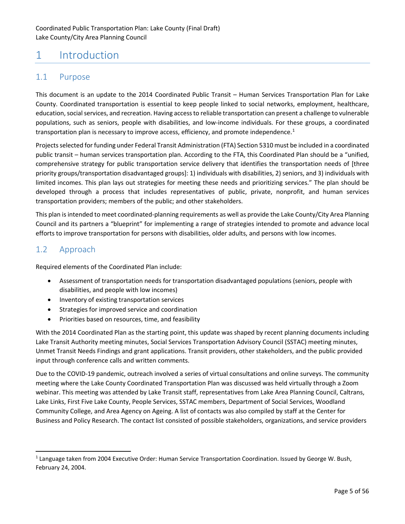# <span id="page-4-0"></span>1 Introduction

# <span id="page-4-1"></span>1.1 Purpose

This document is an update to the 2014 Coordinated Public Transit – Human Services Transportation Plan for Lake County. Coordinated transportation is essential to keep people linked to social networks, employment, healthcare, education, social services, and recreation. Having access to reliable transportation can present a challenge to vulnerable populations, such as seniors, people with disabilities, and low-income individuals. For these groups, a coordinated transportation plan is necessary to improve access, efficiency, and promote independence.<sup>[1](#page-4-3)</sup>

Projects selected for funding under Federal Transit Administration (FTA) Section 5310 must be included in a coordinated public transit – human services transportation plan. According to the FTA, this Coordinated Plan should be a "unified, comprehensive strategy for public transportation service delivery that identifies the transportation needs of [three priority groups/transportation disadvantaged groups]: 1) individuals with disabilities, 2) seniors, and 3) individuals with limited incomes. This plan lays out strategies for meeting these needs and prioritizing services." The plan should be developed through a process that includes representatives of public, private, nonprofit, and human services transportation providers; members of the public; and other stakeholders.

This plan is intended to meet coordinated-planning requirements as well as provide the Lake County/City Area Planning Council and its partners a "blueprint" for implementing a range of strategies intended to promote and advance local efforts to improve transportation for persons with disabilities, older adults, and persons with low incomes.

# <span id="page-4-2"></span>1.2 Approach

Required elements of the Coordinated Plan include:

- Assessment of transportation needs for transportation disadvantaged populations (seniors, people with disabilities, and people with low incomes)
- Inventory of existing transportation services
- Strategies for improved service and coordination
- Priorities based on resources, time, and feasibility

With the 2014 Coordinated Plan as the starting point, this update was shaped by recent planning documents including Lake Transit Authority meeting minutes, Social Services Transportation Advisory Council (SSTAC) meeting minutes, Unmet Transit Needs Findings and grant applications. Transit providers, other stakeholders, and the public provided input through conference calls and written comments.

Due to the COVID-19 pandemic, outreach involved a series of virtual consultations and online surveys. The community meeting where the Lake County Coordinated Transportation Plan was discussed was held virtually through a Zoom webinar. This meeting was attended by Lake Transit staff, representatives from Lake Area Planning Council, Caltrans, Lake Links, First Five Lake County, People Services, SSTAC members, Department of Social Services, Woodland Community College, and Area Agency on Ageing. A list of contacts was also compiled by staff at the Center for Business and Policy Research. The contact list consisted of possible stakeholders, organizations, and service providers

<span id="page-4-3"></span><sup>&</sup>lt;sup>1</sup> Language taken from 2004 Executive Order: Human Service Transportation Coordination. Issued by George W. Bush, February 24, 2004.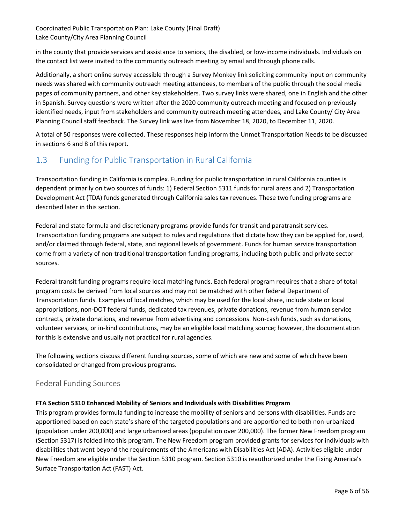in the county that provide services and assistance to seniors, the disabled, or low-income individuals. Individuals on the contact list were invited to the community outreach meeting by email and through phone calls.

Additionally, a short online survey accessible through a Survey Monkey link soliciting community input on community needs was shared with community outreach meeting attendees, to members of the public through the social media pages of community partners, and other key stakeholders. Two survey links were shared, one in English and the other in Spanish. Survey questions were written after the 2020 community outreach meeting and focused on previously identified needs, input from stakeholders and community outreach meeting attendees, and Lake County/ City Area Planning Council staff feedback. The Survey link was live from November 18, 2020, to December 11, 2020.

A total of 50 responses were collected. These responses help inform the Unmet Transportation Needs to be discussed in sections 6 and 8 of this report.

# <span id="page-5-0"></span>1.3 Funding for Public Transportation in Rural California

Transportation funding in California is complex. Funding for public transportation in rural California counties is dependent primarily on two sources of funds: 1) Federal Section 5311 funds for rural areas and 2) Transportation Development Act (TDA) funds generated through California sales tax revenues. These two funding programs are described later in this section.

Federal and state formula and discretionary programs provide funds for transit and paratransit services. Transportation funding programs are subject to rules and regulations that dictate how they can be applied for, used, and/or claimed through federal, state, and regional levels of government. Funds for human service transportation come from a variety of non-traditional transportation funding programs, including both public and private sector sources.

Federal transit funding programs require local matching funds. Each federal program requires that a share of total program costs be derived from local sources and may not be matched with other federal Department of Transportation funds. Examples of local matches, which may be used for the local share, include state or local appropriations, non-DOT federal funds, dedicated tax revenues, private donations, revenue from human service contracts, private donations, and revenue from advertising and concessions. Non-cash funds, such as donations, volunteer services, or in-kind contributions, may be an eligible local matching source; however, the documentation for this is extensive and usually not practical for rural agencies.

The following sections discuss different funding sources, some of which are new and some of which have been consolidated or changed from previous programs.

# Federal Funding Sources

#### **FTA Section 5310 Enhanced Mobility of Seniors and Individuals with Disabilities Program**

This program provides formula funding to increase the mobility of seniors and persons with disabilities. Funds are apportioned based on each state's share of the targeted populations and are apportioned to both non-urbanized (population under 200,000) and large urbanized areas (population over 200,000). The former New Freedom program (Section 5317) is folded into this program. The New Freedom program provided grants for services for individuals with disabilities that went beyond the requirements of the Americans with Disabilities Act (ADA). Activities eligible under New Freedom are eligible under the Section 5310 program. Section 5310 is reauthorized under the Fixing America's Surface Transportation Act (FAST) Act.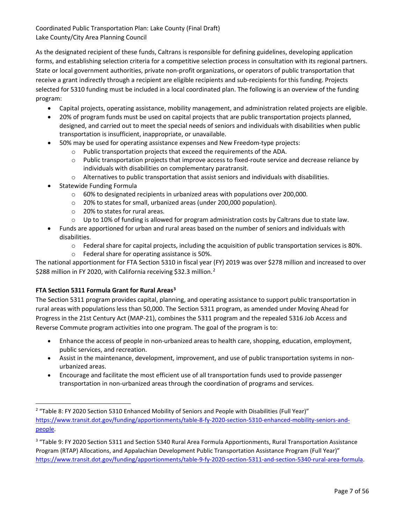As the designated recipient of these funds, Caltrans is responsible for defining guidelines, developing application forms, and establishing selection criteria for a competitive selection process in consultation with its regional partners. State or local government authorities, private non-profit organizations, or operators of public transportation that receive a grant indirectly through a recipient are eligible recipients and sub-recipients for this funding. Projects selected for 5310 funding must be included in a local coordinated plan. The following is an overview of the funding program:

- Capital projects, operating assistance, mobility management, and administration related projects are eligible.
- 20% of program funds must be used on capital projects that are public transportation projects planned, designed, and carried out to meet the special needs of seniors and individuals with disabilities when public transportation is insufficient, inappropriate, or unavailable.
- 50% may be used for operating assistance expenses and New Freedom-type projects:
	- $\circ$  Public transportation projects that exceed the requirements of the ADA.
	- o Public transportation projects that improve access to fixed-route service and decrease reliance by individuals with disabilities on complementary paratransit.
	- o Alternatives to public transportation that assist seniors and individuals with disabilities.
- Statewide Funding Formula
	- $\circ$  60% to designated recipients in urbanized areas with populations over 200,000.
	- o 20% to states for small, urbanized areas (under 200,000 population).
	- o 20% to states for rural areas.
	- $\circ$  Up to 10% of funding is allowed for program administration costs by Caltrans due to state law.
- Funds are apportioned for urban and rural areas based on the number of seniors and individuals with disabilities.
	- $\circ$  Federal share for capital projects, including the acquisition of public transportation services is 80%.
	- o Federal share for operating assistance is 50%.

The national apportionment for FTA Section 5310 in fiscal year (FY) 2019 was over \$278 million and increased to over \$[2](#page-6-0)88 million in FY 2020, with California receiving \$32.3 million.<sup>2</sup>

#### **FTA Section 5311 Formula Grant for Rural Area[s3](#page-6-1)**

The Section 5311 program provides capital, planning, and operating assistance to support public transportation in rural areas with populations less than 50,000. The Section 5311 program, as amended under Moving Ahead for Progress in the 21st Century Act (MAP-21), combines the 5311 program and the repealed 5316 Job Access and Reverse Commute program activities into one program. The goal of the program is to:

- Enhance the access of people in non-urbanized areas to health care, shopping, education, employment, public services, and recreation.
- Assist in the maintenance, development, improvement, and use of public transportation systems in nonurbanized areas.
- Encourage and facilitate the most efficient use of all transportation funds used to provide passenger transportation in non-urbanized areas through the coordination of programs and services.

<span id="page-6-0"></span><sup>&</sup>lt;sup>2</sup> "Table 8: FY 2020 Section 5310 Enhanced Mobility of Seniors and People with Disabilities (Full Year)" [https://www.transit.dot.gov/funding/apportionments/table-8-fy-2020-section-5310-enhanced-mobility-seniors-and](https://www.transit.dot.gov/funding/apportionments/table-8-fy-2020-section-5310-enhanced-mobility-seniors-and-people)[people.](https://www.transit.dot.gov/funding/apportionments/table-8-fy-2020-section-5310-enhanced-mobility-seniors-and-people)

<span id="page-6-1"></span><sup>3</sup> "Table 9: FY 2020 Section 5311 and Section 5340 Rural Area Formula Apportionments, Rural Transportation Assistance Program (RTAP) Allocations, and Appalachian Development Public Transportation Assistance Program (Full Year)" [https://www.transit.dot.gov/funding/apportionments/table-9-fy-2020-section-5311-and-section-5340-rural-area-formula.](https://www.transit.dot.gov/funding/apportionments/table-9-fy-2020-section-5311-and-section-5340-rural-area-formula)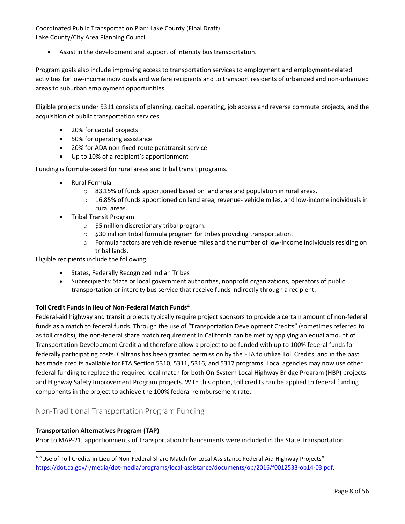• Assist in the development and support of intercity bus transportation.

Program goals also include improving access to transportation services to employment and employment-related activities for low-income individuals and welfare recipients and to transport residents of urbanized and non-urbanized areas to suburban employment opportunities.

Eligible projects under 5311 consists of planning, capital, operating, job access and reverse commute projects, and the acquisition of public transportation services.

- 20% for capital projects
- 50% for operating assistance
- 20% for ADA non-fixed-route paratransit service
- Up to 10% of a recipient's apportionment

Funding is formula-based for rural areas and tribal transit programs.

- Rural Formula
	- $\circ$  83.15% of funds apportioned based on land area and population in rural areas.
	- o 16.85% of funds apportioned on land area, revenue- vehicle miles, and low-income individuals in rural areas.
- Tribal Transit Program
	- o \$5 million discretionary tribal program.
	- o \$30 million tribal formula program for tribes providing transportation.
	- $\circ$  Formula factors are vehicle revenue miles and the number of low-income individuals residing on tribal lands.

Eligible recipients include the following:

- States, Federally Recognized Indian Tribes
- Subrecipients: State or local government authorities, nonprofit organizations, operators of public transportation or intercity bus service that receive funds indirectly through a recipient.

#### **Toll Credit Funds In lieu of Non-Federal Match Funds[4](#page-7-0)**

Federal-aid highway and transit projects typically require project sponsors to provide a certain amount of non-federal funds as a match to federal funds. Through the use of "Transportation Development Credits" (sometimes referred to as toll credits), the non-federal share match requirement in California can be met by applying an equal amount of Transportation Development Credit and therefore allow a project to be funded with up to 100% federal funds for federally participating costs. Caltrans has been granted permission by the FTA to utilize Toll Credits, and in the past has made credits available for FTA Section 5310, 5311, 5316, and 5317 programs. Local agencies may now use other federal funding to replace the required local match for both On-System Local Highway Bridge Program (HBP) projects and Highway Safety Improvement Program projects. With this option, toll credits can be applied to federal funding components in the project to achieve the 100% federal reimbursement rate.

## Non-Traditional Transportation Program Funding

#### **Transportation Alternatives Program (TAP)**

Prior to MAP-21, apportionments of Transportation Enhancements were included in the State Transportation

<span id="page-7-0"></span><sup>4</sup> "Use of Toll Credits in Lieu of Non-Federal Share Match for Local Assistance Federal-Aid Highway Projects" [https://dot.ca.gov/-/media/dot-media/programs/local-assistance/documents/ob/2016/f0012533-ob14-03.pdf.](https://dot.ca.gov/-/media/dot-media/programs/local-assistance/documents/ob/2016/f0012533-ob14-03.pdf)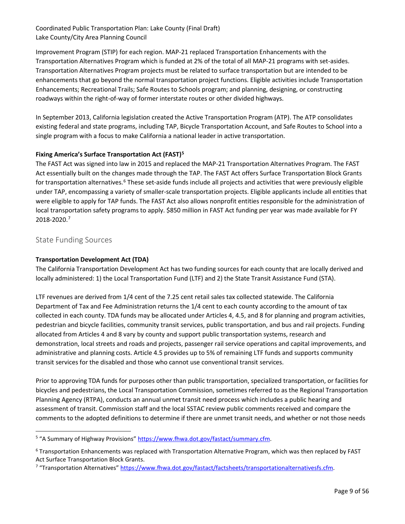Improvement Program (STIP) for each region. MAP-21 replaced Transportation Enhancements with the Transportation Alternatives Program which is funded at 2% of the total of all MAP-21 programs with set-asides. Transportation Alternatives Program projects must be related to surface transportation but are intended to be enhancements that go beyond the normal transportation project functions. Eligible activities include Transportation Enhancements; Recreational Trails; Safe Routes to Schools program; and planning, designing, or constructing roadways within the right-of-way of former interstate routes or other divided highways.

In September 2013, California legislation created the Active Transportation Program (ATP). The ATP consolidates existing federal and state programs, including TAP, Bicycle Transportation Account, and Safe Routes to School into a single program with a focus to make California a national leader in active transportation.

#### **Fixing America's Surface Transportation Act (FAST)[5](#page-8-0)**

The FAST Act was signed into law in 2015 and replaced the MAP-21 Transportation Alternatives Program. The FAST Act essentially built on the changes made through the TAP. The FAST Act offers Surface Transportation Block Grants for transportation alternatives.<sup>[6](#page-8-1)</sup> These set-aside funds include all projects and activities that were previously eligible under TAP, encompassing a variety of smaller-scale transportation projects. Eligible applicants include all entities that were eligible to apply for TAP funds. The FAST Act also allows nonprofit entities responsible for the administration of local transportation safety programs to apply. \$850 million in FAST Act funding per year was made available for FY 2018-2020.[7](#page-8-2)

## State Funding Sources

#### **Transportation Development Act (TDA)**

The California Transportation Development Act has two funding sources for each county that are locally derived and locally administered: 1) the Local Transportation Fund (LTF) and 2) the State Transit Assistance Fund (STA).

LTF revenues are derived from 1/4 cent of the 7.25 cent retail sales tax collected statewide. The California Department of Tax and Fee Administration returns the 1/4 cent to each county according to the amount of tax collected in each county. TDA funds may be allocated under Articles 4, 4.5, and 8 for planning and program activities, pedestrian and bicycle facilities, community transit services, public transportation, and bus and rail projects. Funding allocated from Articles 4 and 8 vary by county and support public transportation systems, research and demonstration, local streets and roads and projects, passenger rail service operations and capital improvements, and administrative and planning costs. Article 4.5 provides up to 5% of remaining LTF funds and supports community transit services for the disabled and those who cannot use conventional transit services.

Prior to approving TDA funds for purposes other than public transportation, specialized transportation, or facilities for bicycles and pedestrians, the Local Transportation Commission, sometimes referred to as the Regional Transportation Planning Agency (RTPA), conducts an annual unmet transit need process which includes a public hearing and assessment of transit. Commission staff and the local SSTAC review public comments received and compare the comments to the adopted definitions to determine if there are unmet transit needs, and whether or not those needs

<span id="page-8-0"></span><sup>5</sup> "A Summary of Highway Provisions[" https://www.fhwa.dot.gov/fastact/summary.cfm.](https://www.fhwa.dot.gov/fastact/summary.cfm)

<span id="page-8-1"></span><sup>6</sup> Transportation Enhancements was replaced with Transportation Alternative Program, which was then replaced by FAST Act Surface Transportation Block Grants.<br><sup>7</sup> "Transportation Alternatives" [https://www.fhwa.dot.gov/fastact/factsheets/transportationalternativesfs.cfm.](https://www.fhwa.dot.gov/fastact/factsheets/transportationalternativesfs.cfm)

<span id="page-8-2"></span>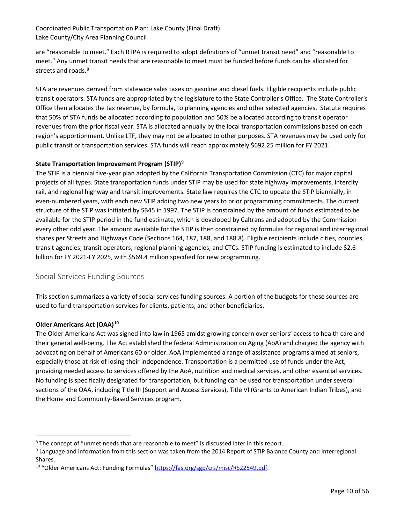are "reasonable to meet." Each RTPA is required to adopt definitions of "unmet transit need" and "reasonable to meet." Any unmet transit needs that are reasonable to meet must be funded before funds can be allocated for streets and roads.<sup>[8](#page-9-0)</sup>

STA are revenues derived from statewide sales taxes on gasoline and diesel fuels. Eligible recipients include public transit operators. STA funds are appropriated by the legislature to the State Controller's Office. The State Controller's Office then allocates the tax revenue, by formula, to planning agencies and other selected agencies. Statute requires that 50% of STA funds be allocated according to population and 50% be allocated according to transit operator revenues from the prior fiscal year. STA is allocated annually by the local transportation commissions based on each region's apportionment. Unlike LTF, they may not be allocated to other purposes. STA revenues may be used only for public transit or transportation services. STA funds will reach approximately \$692.25 million for FY 2021.

#### **State Transportation Improvement Program (STIP)[9](#page-9-1)**

The STIP is a biennial five-year plan adopted by the California Transportation Commission (CTC) for major capital projects of all types. State transportation funds under STIP may be used for state highway improvements, intercity rail, and regional highway and transit improvements. State law requires the CTC to update the STIP biennially, in even-numbered years, with each new STIP adding two new years to prior programming commitments. The current structure of the STIP was initiated by SB45 in 1997. The STIP is constrained by the amount of funds estimated to be available for the STIP period in the fund estimate, which is developed by Caltrans and adopted by the Commission every other odd year. The amount available for the STIP is then constrained by formulas for regional and interregional shares per Streets and Highways Code (Sections 164, 187, 188, and 188.8). Eligible recipients include cities, counties, transit agencies, transit operators, regional planning agencies, and CTCs. STIP funding is estimated to include \$2.6 billion for FY 2021-FY 2025, with \$569.4 million specified for new programming.

# Social Services Funding Sources

This section summarizes a variety of social services funding sources. A portion of the budgets for these sources are used to fund transportation services for clients, patients, and other beneficiaries.

#### **Older Americans Act (OAA)[10](#page-9-2)**

The Older Americans Act was signed into law in 1965 amidst growing concern over seniors' access to health care and their general well-being. The Act established the federal Administration on Aging (AoA) and charged the agency with advocating on behalf of Americans 60 or older. AoA implemented a range of assistance programs aimed at seniors, especially those at risk of losing their independence. Transportation is a permitted use of funds under the Act, providing needed access to services offered by the AoA, nutrition and medical services, and other essential services. No funding is specifically designated for transportation, but funding can be used for transportation under several sections of the OAA, including Title III (Support and Access Services), Title VI (Grants to American Indian Tribes), and the Home and Community-Based Services program.

<span id="page-9-0"></span><sup>&</sup>lt;sup>8</sup> The concept of "unmet needs that are reasonable to meet" is discussed later in this report.

<span id="page-9-1"></span><sup>9</sup> Language and information from this section was taken from the 2014 Report of STIP Balance County and Interregional Shares.

<span id="page-9-2"></span><sup>&</sup>lt;sup>10</sup> "Older Americans Act: Funding Formulas" [https://fas.org/sgp/crs/misc/RS22549.pdf.](https://fas.org/sgp/crs/misc/RS22549.pdf)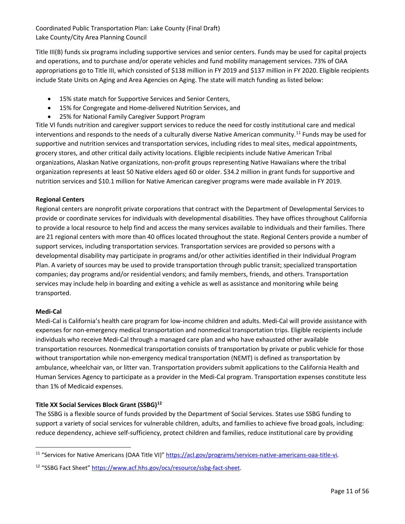Title III(B) funds six programs including supportive services and senior centers. Funds may be used for capital projects and operations, and to purchase and/or operate vehicles and fund mobility management services. 73% of OAA appropriations go to Title III, which consisted of \$138 million in FY 2019 and \$137 million in FY 2020. Eligible recipients include State Units on Aging and Area Agencies on Aging. The state will match funding as listed below:

- 15% state match for Supportive Services and Senior Centers,
- 15% for Congregate and Home-delivered Nutrition Services, and
- 25% for National Family Caregiver Support Program

Title VI funds nutrition and caregiver support services to reduce the need for costly institutional care and medical interventions and responds to the needs of a culturally diverse Native American community.<sup>[11](#page-10-0)</sup> Funds may be used for supportive and nutrition services and transportation services, including rides to meal sites, medical appointments, grocery stores, and other critical daily activity locations. Eligible recipients include Native American Tribal organizations, Alaskan Native organizations, non-profit groups representing Native Hawaiians where the tribal organization represents at least 50 Native elders aged 60 or older. \$34.2 million in grant funds for supportive and nutrition services and \$10.1 million for Native American caregiver programs were made available in FY 2019.

#### **Regional Centers**

Regional centers are nonprofit private corporations that contract with the Department of Developmental Services to provide or coordinate services for individuals with developmental disabilities. They have offices throughout California to provide a local resource to help find and access the many services available to individuals and their families. There are 21 regional centers with more than 40 offices located throughout the state. Regional Centers provide a number of support services, including transportation services. Transportation services are provided so persons with a developmental disability may participate in programs and/or other activities identified in their Individual Program Plan. A variety of sources may be used to provide transportation through public transit; specialized transportation companies; day programs and/or residential vendors; and family members, friends, and others. Transportation services may include help in boarding and exiting a vehicle as well as assistance and monitoring while being transported.

#### **Medi-Cal**

Medi-Cal is California's health care program for low-income children and adults. Medi-Cal will provide assistance with expenses for non-emergency medical transportation and nonmedical transportation trips. Eligible recipients include individuals who receive Medi-Cal through a managed care plan and who have exhausted other available transportation resources. Nonmedical transportation consists of transportation by private or public vehicle for those without transportation while non-emergency medical transportation (NEMT) is defined as transportation by ambulance, wheelchair van, or litter van. Transportation providers submit applications to the California Health and Human Services Agency to participate as a provider in the Medi-Cal program. Transportation expenses constitute less than 1% of Medicaid expenses.

#### **Title XX Social Services Block Grant (SSBG)[12](#page-10-1)**

The SSBG is a flexible source of funds provided by the Department of Social Services. States use SSBG funding to support a variety of social services for vulnerable children, adults, and families to achieve five broad goals, including: reduce dependency, achieve self-sufficiency, protect children and families, reduce institutional care by providing

<span id="page-10-0"></span><sup>&</sup>lt;sup>11</sup> "Services for Native Americans (OAA Title VI)" [https://acl.gov/programs/services-native-americans-oaa-title-vi.](https://acl.gov/programs/services-native-americans-oaa-title-vi)

<span id="page-10-1"></span><sup>12</sup> "SSBG Fact Sheet" [https://www.acf.hhs.gov/ocs/resource/ssbg-fact-sheet.](https://www.acf.hhs.gov/ocs/resource/ssbg-fact-sheet)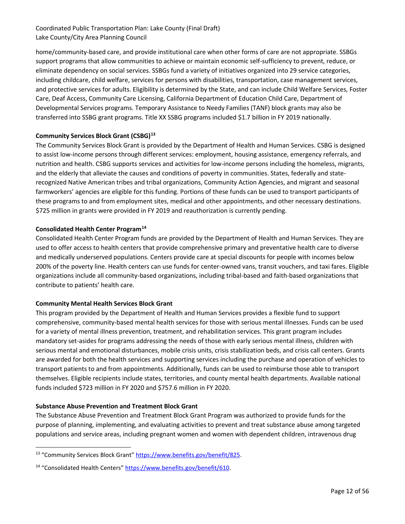home/community-based care, and provide institutional care when other forms of care are not appropriate. SSBGs support programs that allow communities to achieve or maintain economic self-sufficiency to prevent, reduce, or eliminate dependency on social services. SSBGs fund a variety of initiatives organized into 29 service categories, including childcare, child welfare, services for persons with disabilities, transportation, case management services, and protective services for adults. Eligibility is determined by the State, and can include Child Welfare Services, Foster Care, Deaf Access, Community Care Licensing, California Department of Education Child Care, Department of Developmental Services programs. Temporary Assistance to Needy Families (TANF) block grants may also be transferred into SSBG grant programs. Title XX SSBG programs included \$1.7 billion in FY 2019 nationally.

#### **Community Services Block Grant (CSBG)[13](#page-11-0)**

The Community Services Block Grant is provided by the Department of Health and Human Services. CSBG is designed to assist low-income persons through different services: employment, housing assistance, emergency referrals, and nutrition and health. CSBG supports services and activities for low-income persons including the homeless, migrants, and the elderly that alleviate the causes and conditions of poverty in communities. States, federally and staterecognized Native American tribes and tribal organizations, Community Action Agencies, and migrant and seasonal farmworkers' agencies are eligible for this funding. Portions of these funds can be used to transport participants of these programs to and from employment sites, medical and other appointments, and other necessary destinations. \$725 million in grants were provided in FY 2019 and reauthorization is currently pending.

#### **Consolidated Health Center Program[14](#page-11-1)**

Consolidated Health Center Program funds are provided by the Department of Health and Human Services. They are used to offer access to health centers that provide comprehensive primary and preventative health care to diverse and medically underserved populations. Centers provide care at special discounts for people with incomes below 200% of the poverty line. Health centers can use funds for center-owned vans, transit vouchers, and taxi fares. Eligible organizations include all community-based organizations, including tribal-based and faith-based organizations that contribute to patients' health care.

#### **Community Mental Health Services Block Grant**

This program provided by the Department of Health and Human Services provides a flexible fund to support comprehensive, community-based mental health services for those with serious mental illnesses. Funds can be used for a variety of mental illness prevention, treatment, and rehabilitation services. This grant program includes mandatory set-asides for programs addressing the needs of those with early serious mental illness, children with serious mental and emotional disturbances, mobile crisis units, crisis stabilization beds, and crisis call centers. Grants are awarded for both the health services and supporting services including the purchase and operation of vehicles to transport patients to and from appointments. Additionally, funds can be used to reimburse those able to transport themselves. Eligible recipients include states, territories, and county mental health departments. Available national funds included \$723 million in FY 2020 and \$757.6 million in FY 2020.

#### **Substance Abuse Prevention and Treatment Block Grant**

The Substance Abuse Prevention and Treatment Block Grant Program was authorized to provide funds for the purpose of planning, implementing, and evaluating activities to prevent and treat substance abuse among targeted populations and service areas, including pregnant women and women with dependent children, intravenous drug

<span id="page-11-0"></span><sup>13 &</sup>quot;Community Services Block Grant[" https://www.benefits.gov/benefit/825.](https://www.benefits.gov/benefit/825)

<span id="page-11-1"></span><sup>14</sup> "Consolidated Health Centers[" https://www.benefits.gov/benefit/610.](https://www.benefits.gov/benefit/610)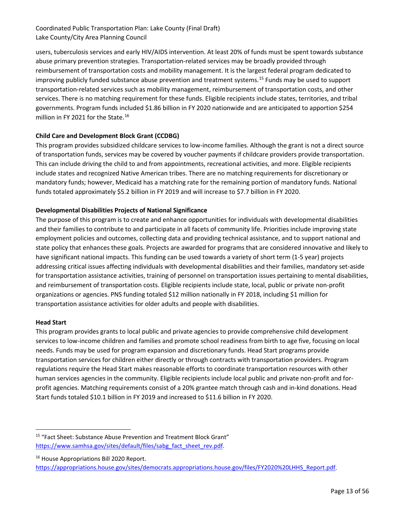users, tuberculosis services and early HIV/AIDS intervention. At least 20% of funds must be spent towards substance abuse primary prevention strategies. Transportation-related services may be broadly provided through reimbursement of transportation costs and mobility management. It is the largest federal program dedicated to improving publicly funded substance abuse prevention and treatment systems.<sup>[15](#page-12-0)</sup> Funds may be used to support transportation-related services such as mobility management, reimbursement of transportation costs, and other services. There is no matching requirement for these funds. Eligible recipients include states, territories, and tribal governments. Program funds included \$1.86 billion in FY 2020 nationwide and are anticipated to apportion \$254 million in FY 2021 for the State[.16](#page-12-1)

#### **Child Care and Development Block Grant (CCDBG)**

This program provides subsidized childcare services to low-income families. Although the grant is not a direct source of transportation funds, services may be covered by voucher payments if childcare providers provide transportation. This can include driving the child to and from appointments, recreational activities, and more. Eligible recipients include states and recognized Native American tribes. There are no matching requirements for discretionary or mandatory funds; however, Medicaid has a matching rate for the remaining portion of mandatory funds. National funds totaled approximately \$5.2 billion in FY 2019 and will increase to \$7.7 billion in FY 2020.

#### **Developmental Disabilities Projects of National Significance**

The purpose of this program is to create and enhance opportunities for individuals with developmental disabilities and their families to contribute to and participate in all facets of community life. Priorities include improving state employment policies and outcomes, collecting data and providing technical assistance, and to support national and state policy that enhances these goals. Projects are awarded for programs that are considered innovative and likely to have significant national impacts. This funding can be used towards a variety of short term (1-5 year) projects addressing critical issues affecting individuals with developmental disabilities and their families, mandatory set-aside for transportation assistance activities, training of personnel on transportation issues pertaining to mental disabilities, and reimbursement of transportation costs. Eligible recipients include state, local, public or private non-profit organizations or agencies. PNS funding totaled \$12 million nationally in FY 2018, including \$1 million for transportation assistance activities for older adults and people with disabilities.

#### **Head Start**

This program provides grants to local public and private agencies to provide comprehensive child development services to low-income children and families and promote school readiness from birth to age five, focusing on local needs. Funds may be used for program expansion and discretionary funds. Head Start programs provide transportation services for children either directly or through contracts with transportation providers. Program regulations require the Head Start makes reasonable efforts to coordinate transportation resources with other human services agencies in the community. Eligible recipients include local public and private non-profit and forprofit agencies. Matching requirements consist of a 20% grantee match through cash and in-kind donations. Head Start funds totaled \$10.1 billion in FY 2019 and increased to \$11.6 billion in FY 2020.

<span id="page-12-0"></span><sup>&</sup>lt;sup>15</sup> "Fact Sheet: Substance Abuse Prevention and Treatment Block Grant" [https://www.samhsa.gov/sites/default/files/sabg\\_fact\\_sheet\\_rev.pdf.](https://www.samhsa.gov/sites/default/files/sabg_fact_sheet_rev.pdf)

<span id="page-12-1"></span><sup>&</sup>lt;sup>16</sup> House Appropriations Bill 2020 Report.

[https://appropriations.house.gov/sites/democrats.appropriations.house.gov/files/FY2020%20LHHS\\_Report.pdf.](https://appropriations.house.gov/sites/democrats.appropriations.house.gov/files/FY2020%20LHHS_Report.pdf)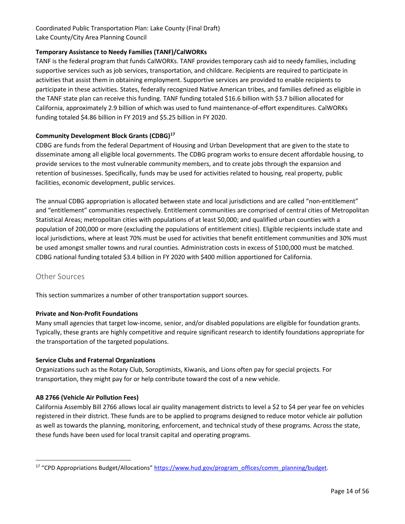#### **Temporary Assistance to Needy Families (TANF)/CalWORKs**

TANF is the federal program that funds CalWORKs. TANF provides temporary cash aid to needy families, including supportive services such as job services, transportation, and childcare. Recipients are required to participate in activities that assist them in obtaining employment. Supportive services are provided to enable recipients to participate in these activities. States, federally recognized Native American tribes, and families defined as eligible in the TANF state plan can receive this funding. TANF funding totaled \$16.6 billion with \$3.7 billion allocated for California, approximately 2.9 billion of which was used to fund maintenance-of-effort expenditures. CalWORKs funding totaled \$4.86 billion in FY 2019 and \$5.25 billion in FY 2020.

#### **Community Development Block Grants (CDBG)[17](#page-13-0)**

CDBG are funds from the federal Department of Housing and Urban Development that are given to the state to disseminate among all eligible local governments. The CDBG program works to ensure decent affordable housing, to provide services to the most vulnerable community members, and to create jobs through the expansion and retention of businesses. Specifically, funds may be used for activities related to housing, real property, public facilities, economic development, public services.

The annual CDBG appropriation is allocated between state and local jurisdictions and are called "non-entitlement" and "entitlement" communities respectively. Entitlement communities are comprised of central cities of Metropolitan Statistical Areas; metropolitan cities with populations of at least 50,000; and qualified urban counties with a population of 200,000 or more (excluding the populations of entitlement cities). Eligible recipients include state and local jurisdictions, where at least 70% must be used for activities that benefit entitlement communities and 30% must be used amongst smaller towns and rural counties. Administration costs in excess of \$100,000 must be matched. CDBG national funding totaled \$3.4 billion in FY 2020 with \$400 million apportioned for California.

#### Other Sources

This section summarizes a number of other transportation support sources.

#### **Private and Non-Profit Foundations**

Many small agencies that target low-income, senior, and/or disabled populations are eligible for foundation grants. Typically, these grants are highly competitive and require significant research to identify foundations appropriate for the transportation of the targeted populations.

#### **Service Clubs and Fraternal Organizations**

Organizations such as the Rotary Club, Soroptimists, Kiwanis, and Lions often pay for special projects. For transportation, they might pay for or help contribute toward the cost of a new vehicle.

#### **AB 2766 (Vehicle Air Pollution Fees)**

California Assembly Bill 2766 allows local air quality management districts to level a \$2 to \$4 per year fee on vehicles registered in their district. These funds are to be applied to programs designed to reduce motor vehicle air pollution as well as towards the planning, monitoring, enforcement, and technical study of these programs. Across the state, these funds have been used for local transit capital and operating programs.

<span id="page-13-0"></span><sup>&</sup>lt;sup>17</sup> "CPD Appropriations Budget/Allocations" [https://www.hud.gov/program\\_offices/comm\\_planning/budget.](https://www.hud.gov/program_offices/comm_planning/budget)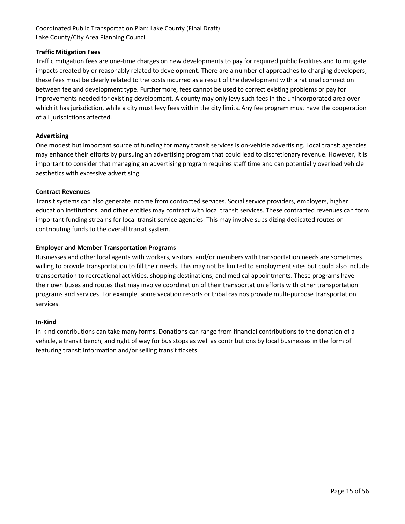#### **Traffic Mitigation Fees**

Traffic mitigation fees are one-time charges on new developments to pay for required public facilities and to mitigate impacts created by or reasonably related to development. There are a number of approaches to charging developers; these fees must be clearly related to the costs incurred as a result of the development with a rational connection between fee and development type. Furthermore, fees cannot be used to correct existing problems or pay for improvements needed for existing development. A county may only levy such fees in the unincorporated area over which it has jurisdiction, while a city must levy fees within the city limits. Any fee program must have the cooperation of all jurisdictions affected.

#### **Advertising**

One modest but important source of funding for many transit services is on-vehicle advertising. Local transit agencies may enhance their efforts by pursuing an advertising program that could lead to discretionary revenue. However, it is important to consider that managing an advertising program requires staff time and can potentially overload vehicle aesthetics with excessive advertising.

#### **Contract Revenues**

Transit systems can also generate income from contracted services. Social service providers, employers, higher education institutions, and other entities may contract with local transit services. These contracted revenues can form important funding streams for local transit service agencies. This may involve subsidizing dedicated routes or contributing funds to the overall transit system.

#### **Employer and Member Transportation Programs**

Businesses and other local agents with workers, visitors, and/or members with transportation needs are sometimes willing to provide transportation to fill their needs. This may not be limited to employment sites but could also include transportation to recreational activities, shopping destinations, and medical appointments. These programs have their own buses and routes that may involve coordination of their transportation efforts with other transportation programs and services. For example, some vacation resorts or tribal casinos provide multi-purpose transportation services.

#### **In-Kind**

In-kind contributions can take many forms. Donations can range from financial contributions to the donation of a vehicle, a transit bench, and right of way for bus stops as well as contributions by local businesses in the form of featuring transit information and/or selling transit tickets.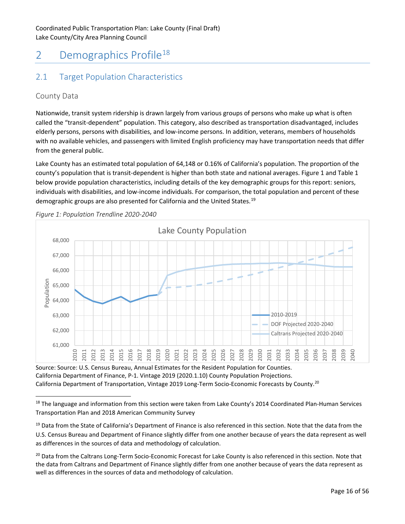# <span id="page-15-0"></span>2 Demographics Profile<sup>[18](#page-15-3)</sup>

# <span id="page-15-1"></span>2.1 Target Population Characteristics

# County Data

Nationwide, transit system ridership is drawn largely from various groups of persons who make up what is often called the "transit-dependent" population. This category, also described as transportation disadvantaged, includes elderly persons, persons with disabilities, and low-income persons. In addition, veterans, members of households with no available vehicles, and passengers with limited English proficiency may have transportation needs that differ from the general public.

Lake County has an estimated total population of 64,148 or 0.16% of California's population. The proportion of the county's population that is transit-dependent is higher than both state and national averages. Figure 1 and Table 1 below provide population characteristics, including details of the key demographic groups for this report: seniors, individuals with disabilities, and low-income individuals. For comparison, the total population and percent of these demographic groups are also presented for California and the United States.<sup>[19](#page-15-4)</sup>



<span id="page-15-2"></span>*Figure 1: Population Trendline 2020-2040*

Source: Source: U.S. Census Bureau, Annual Estimates for the Resident Population for Counties. California Department of Finance, P-1. Vintage 2019 (2020.1.10) County Population Projections. California Department of Transportation, Vintage [20](#page-15-5)19 Long-Term Socio-Economic Forecasts by County.<sup>20</sup>

<span id="page-15-3"></span><sup>&</sup>lt;sup>18</sup> The language and information from this section were taken from Lake County's 2014 Coordinated Plan-Human Services Transportation Plan and 2018 American Community Survey

<span id="page-15-4"></span><sup>&</sup>lt;sup>19</sup> Data from the State of California's Department of Finance is also referenced in this section. Note that the data from the U.S. Census Bureau and Department of Finance slightly differ from one another because of years the data represent as well as differences in the sources of data and methodology of calculation.

<span id="page-15-5"></span><sup>&</sup>lt;sup>20</sup> Data from the Caltrans Long-Term Socio-Economic Forecast for Lake County is also referenced in this section. Note that the data from Caltrans and Department of Finance slightly differ from one another because of years the data represent as well as differences in the sources of data and methodology of calculation.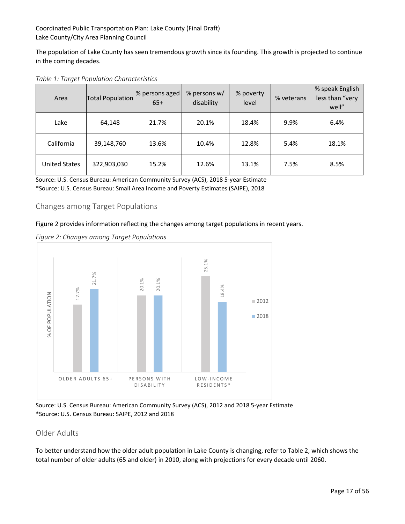The population of Lake County has seen tremendous growth since its founding. This growth is projected to continue in the coming decades.

| Area                 | <b>Total Population</b> | % persons aged<br>$65+$ | % persons $w/$<br>disability | % poverty<br>level | % veterans | % speak English<br>less than "very<br>well" |
|----------------------|-------------------------|-------------------------|------------------------------|--------------------|------------|---------------------------------------------|
| Lake                 | 64,148                  | 21.7%                   | 20.1%                        | 18.4%              | 9.9%       | 6.4%                                        |
| California           | 39,148,760              | 13.6%                   | 10.4%                        | 12.8%              | 5.4%       | 18.1%                                       |
| <b>United States</b> | 322,903,030             | 15.2%                   | 12.6%                        | 13.1%              | 7.5%       | 8.5%                                        |

#### <span id="page-16-0"></span>*Table 1: Target Population Characteristics*

Source: U.S. Census Bureau: American Community Survey (ACS), 2018 5-year Estimate \*Source: U.S. Census Bureau: Small Area Income and Poverty Estimates (SAIPE), 2018

# Changes among Target Populations

#### Figure 2 provides information reflecting the changes among target populations in recent years.



<span id="page-16-1"></span>*Figure 2: Changes among Target Populations*

Source: U.S. Census Bureau: American Community Survey (ACS), 2012 and 2018 5-year Estimate \*Source: U.S. Census Bureau: SAIPE, 2012 and 2018

# Older Adults

To better understand how the older adult population in Lake County is changing, refer to Table 2, which shows the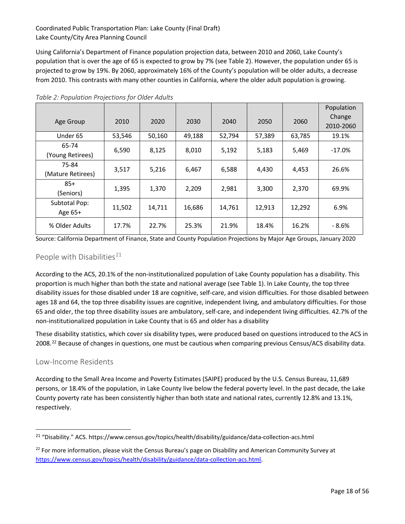Using California's Department of Finance population projection data, between 2010 and 2060, Lake County's population that is over the age of 65 is expected to grow by 7% (see Table 2). However, the population under 65 is projected to grow by 19%. By 2060, approximately 16% of the County's population will be older adults, a decrease from 2010. This contrasts with many other counties in California, where the older adult population is growing.

|                            |        |        |        |        |        |        | Population          |
|----------------------------|--------|--------|--------|--------|--------|--------|---------------------|
| Age Group                  | 2010   | 2020   | 2030   | 2040   | 2050   | 2060   | Change<br>2010-2060 |
| Under 65                   | 53,546 | 50,160 | 49,188 | 52,794 | 57,389 | 63,785 | 19.1%               |
| 65-74<br>(Young Retirees)  | 6,590  | 8,125  | 8,010  | 5,192  | 5,183  | 5,469  | $-17.0%$            |
| 75-84<br>(Mature Retirees) | 3,517  | 5,216  | 6,467  | 6,588  | 4,430  | 4,453  | 26.6%               |
| $85+$<br>(Seniors)         | 1,395  | 1,370  | 2,209  | 2,981  | 3,300  | 2,370  | 69.9%               |
| Subtotal Pop:<br>Age $65+$ | 11,502 | 14,711 | 16,686 | 14,761 | 12,913 | 12,292 | 6.9%                |
| % Older Adults             | 17.7%  | 22.7%  | 25.3%  | 21.9%  | 18.4%  | 16.2%  | $-8.6%$             |

<span id="page-17-0"></span>*Table 2: Population Projections for Older Adults*

Source: California Department of Finance, State and County Population Projections by Major Age Groups, January 2020

## People with Disabilities<sup>[21](#page-17-1)</sup>

According to the ACS, 20.1% of the non-institutionalized population of Lake County population has a disability. This proportion is much higher than both the state and national average (see Table 1). In Lake County, the top three disability issues for those disabled under 18 are cognitive, self-care, and vision difficulties. For those disabled between ages 18 and 64, the top three disability issues are cognitive, independent living, and ambulatory difficulties. For those 65 and older, the top three disability issues are ambulatory, self-care, and independent living difficulties. 42.7% of the non-institutionalized population in Lake County that is 65 and older has a disability

These disability statistics, which cover six disability types, were produced based on questions introduced to the ACS in 2008.<sup>22</sup> Because of changes in questions, one must be cautious when comparing previous Census/ACS disability data.

# Low-Income Residents

According to the Small Area Income and Poverty Estimates (SAIPE) produced by the U.S. Census Bureau, 11,689 persons, or 18.4% of the population, in Lake County live below the federal poverty level. In the past decade, the Lake County poverty rate has been consistently higher than both state and national rates, currently 12.8% and 13.1%, respectively.

<span id="page-17-1"></span><sup>&</sup>lt;sup>21</sup> "Disability." ACS.<https://www.census.gov/topics/health/disability/guidance/data-collection-acs.html>

<span id="page-17-2"></span> $22$  For more information, please visit the Census Bureau's page on Disability and American Community Survey at [https://www.census.gov/topics/health/disability/guidance/data-collection-acs.html.](https://www.census.gov/topics/health/disability/guidance/data-collection-acs.html)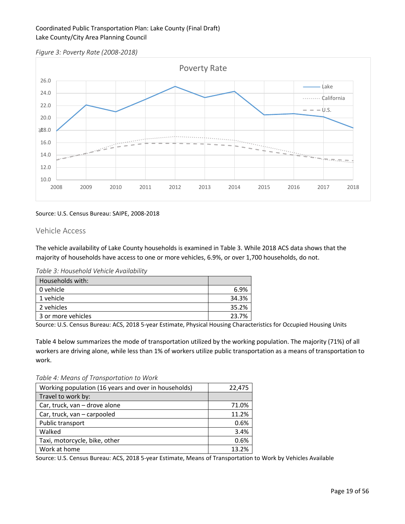<span id="page-18-0"></span>*Figure 3: Poverty Rate (2008-2018)*



Source: U.S. Census Bureau: SAIPE, 2008-2018

## Vehicle Access

The vehicle availability of Lake County households is examined in Table 3. While 2018 ACS data shows that the majority of households have access to one or more vehicles, 6.9%, or over 1,700 households, do not.

<span id="page-18-1"></span>*Table 3: Household Vehicle Availability*

| Households with:   |       |
|--------------------|-------|
| 0 vehicle          | 6.9%  |
| 1 vehicle          | 34.3% |
| 2 vehicles         | 35.2% |
| 3 or more vehicles | 23.7% |

Source: U.S. Census Bureau: ACS, 2018 5-year Estimate, Physical Housing Characteristics for Occupied Housing Units

Table 4 below summarizes the mode of transportation utilized by the working population. The majority (71%) of all workers are driving alone, while less than 1% of workers utilize public transportation as a means of transportation to work.

<span id="page-18-2"></span>*Table 4: Means of Transportation to Work*

| Working population (16 years and over in households) | 22,475 |
|------------------------------------------------------|--------|
| Travel to work by:                                   |        |
| Car, truck, van - drove alone                        | 71.0%  |
| Car, truck, van - carpooled                          | 11.2%  |
| Public transport                                     | 0.6%   |
| Walked                                               | 3.4%   |
| Taxi, motorcycle, bike, other                        | 0.6%   |
| Work at home                                         | 13.2%  |

Source: U.S. Census Bureau: ACS, 2018 5-year Estimate, Means of Transportation to Work by Vehicles Available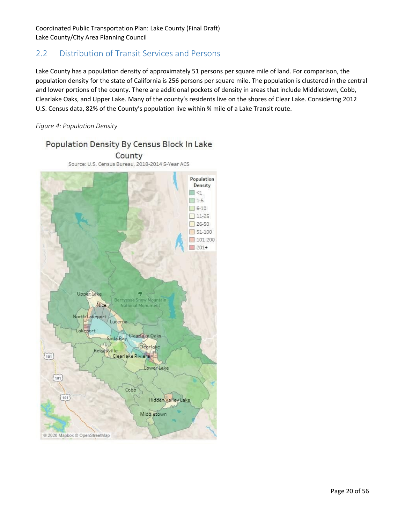# <span id="page-19-0"></span>2.2 Distribution of Transit Services and Persons

Lake County has a population density of approximately 51 persons per square mile of land. For comparison, the population density for the state of California is 256 persons per square mile. The population is clustered in the central and lower portions of the county. There are additional pockets of density in areas that include Middletown, Cobb, Clearlake Oaks, and Upper Lake. Many of the county's residents live on the shores of Clear Lake. Considering 2012 U.S. Census data, 82% of the County's population live within ¾ mile of a Lake Transit route.

<span id="page-19-1"></span>*Figure 4: Population Density*

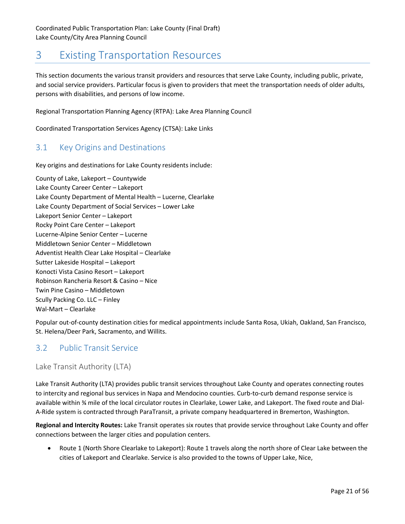# <span id="page-20-0"></span>3 Existing Transportation Resources

This section documents the various transit providers and resources that serve Lake County, including public, private, and social service providers. Particular focus is given to providers that meet the transportation needs of older adults, persons with disabilities, and persons of low income.

Regional Transportation Planning Agency (RTPA): Lake Area Planning Council

Coordinated Transportation Services Agency (CTSA): Lake Links

# <span id="page-20-1"></span>3.1 Key Origins and Destinations

Key origins and destinations for Lake County residents include:

County of Lake, Lakeport – Countywide Lake County Career Center – Lakeport Lake County Department of Mental Health – Lucerne, Clearlake Lake County Department of Social Services – Lower Lake Lakeport Senior Center – Lakeport Rocky Point Care Center – Lakeport Lucerne-Alpine Senior Center – Lucerne Middletown Senior Center – Middletown Adventist Health Clear Lake Hospital – Clearlake Sutter Lakeside Hospital – Lakeport Konocti Vista Casino Resort – Lakeport Robinson Rancheria Resort & Casino – Nice Twin Pine Casino – Middletown Scully Packing Co. LLC – Finley Wal-Mart – Clearlake

Popular out-of-county destination cities for medical appointments include Santa Rosa, Ukiah, Oakland, San Francisco, St. Helena/Deer Park, Sacramento, and Willits.

# <span id="page-20-2"></span>3.2 Public Transit Service

#### Lake Transit Authority (LTA)

Lake Transit Authority (LTA) provides public transit services throughout Lake County and operates connecting routes to intercity and regional bus services in Napa and Mendocino counties. Curb-to-curb demand response service is available within ¾ mile of the local circulator routes in Clearlake, Lower Lake, and Lakeport. The fixed route and Dial-A-Ride system is contracted through ParaTransit, a private company headquartered in Bremerton, Washington.

**Regional and Intercity Routes:** Lake Transit operates six routes that provide service throughout Lake County and offer connections between the larger cities and population centers.

• Route 1 (North Shore Clearlake to Lakeport): Route 1 travels along the north shore of Clear Lake between the cities of Lakeport and Clearlake. Service is also provided to the towns of Upper Lake, Nice,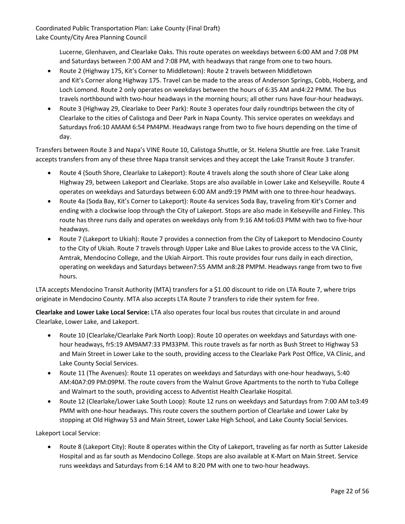> Lucerne, Glenhaven, and Clearlake Oaks. This route operates on weekdays between 6:00 AM and 7:08 PM and Saturdays between 7:00 AM and 7:08 PM, with headways that range from one to two hours.

- Route 2 (Highway 175, Kit's Corner to Middletown): Route 2 travels between Middletown and Kit's Corner along Highway 175. Travel can be made to the areas of Anderson Springs, Cobb, Hoberg, and Loch Lomond. Route 2 only operates on weekdays between the hours of 6:35 AM and4:22 PMM. The bus travels northbound with two-hour headways in the morning hours; all other runs have four-hour headways.
- Route 3 (Highway 29, Clearlake to Deer Park): Route 3 operates four daily roundtrips between the city of Clearlake to the cities of Calistoga and Deer Park in Napa County. This service operates on weekdays and Saturdays fro6:10 AMAM 6:54 PM4PM. Headways range from two to five hours depending on the time of day.

Transfers between Route 3 and Napa's VINE Route 10, Calistoga Shuttle, or St. Helena Shuttle are free. Lake Transit accepts transfers from any of these three Napa transit services and they accept the Lake Transit Route 3 transfer.

- Route 4 (South Shore, Clearlake to Lakeport): Route 4 travels along the south shore of Clear Lake along Highway 29, between Lakeport and Clearlake. Stops are also available in Lower Lake and Kelseyville. Route 4 operates on weekdays and Saturdays between 6:00 AM and9:19 PMM with one to three-hour headways.
- Route 4a (Soda Bay, Kit's Corner to Lakeport): Route 4a services Soda Bay, traveling from Kit's Corner and ending with a clockwise loop through the City of Lakeport. Stops are also made in Kelseyville and Finley. This route has three runs daily and operates on weekdays only from 9:16 AM to6:03 PMM with two to five-hour headways.
- Route 7 (Lakeport to Ukiah): Route 7 provides a connection from the City of Lakeport to Mendocino County to the City of Ukiah. Route 7 travels through Upper Lake and Blue Lakes to provide access to the VA Clinic, Amtrak, Mendocino College, and the Ukiah Airport. This route provides four runs daily in each direction, operating on weekdays and Saturdays between7:55 AMM an8:28 PMPM. Headways range from two to five hours.

LTA accepts Mendocino Transit Authority (MTA) transfers for a \$1.00 discount to ride on LTA Route 7, where trips originate in Mendocino County. MTA also accepts LTA Route 7 transfers to ride their system for free.

**Clearlake and Lower Lake Local Service:** LTA also operates four local bus routes that circulate in and around Clearlake, Lower Lake, and Lakeport.

- Route 10 (Clearlake/Clearlake Park North Loop): Route 10 operates on weekdays and Saturdays with onehour headways, fr5:19 AM9AM7:33 PM33PM. This route travels as far north as Bush Street to Highway 53 and Main Street in Lower Lake to the south, providing access to the Clearlake Park Post Office, VA Clinic, and Lake County Social Services.
- Route 11 (The Avenues): Route 11 operates on weekdays and Saturdays with one-hour headways, 5:40 AM:40A7:09 PM:09PM. The route covers from the Walnut Grove Apartments to the north to Yuba College and Walmart to the south, providing access to Adventist Health Clearlake Hospital.
- Route 12 (Clearlake/Lower Lake South Loop): Route 12 runs on weekdays and Saturdays from 7:00 AM to3:49 PMM with one-hour headways. This route covers the southern portion of Clearlake and Lower Lake by stopping at Old Highway 53 and Main Street, Lower Lake High School, and Lake County Social Services.

Lakeport Local Service:

• Route 8 (Lakeport City): Route 8 operates within the City of Lakeport, traveling as far north as Sutter Lakeside Hospital and as far south as Mendocino College. Stops are also available at K-Mart on Main Street. Service runs weekdays and Saturdays from 6:14 AM to 8:20 PM with one to two-hour headways.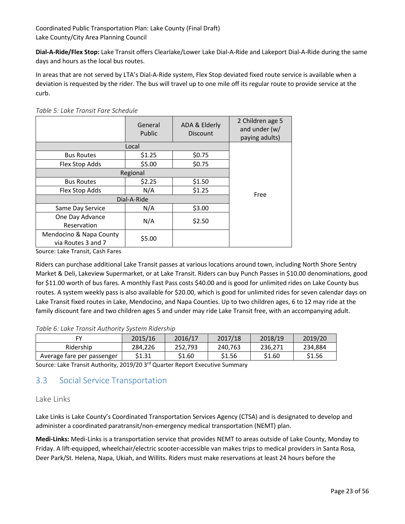**Dial-A-Ride/Flex Stop:** Lake Transit offers Clearlake/Lower Lake Dial-A-Ride and Lakeport Dial-A-Ride during the same days and hours as the local bus routes.

In areas that are not served by LTA's Dial-A-Ride system, Flex Stop deviated fixed route service is available when a deviation is requested by the rider. The bus will travel up to one mile off its regular route to provide service at the curb.

|                                               | General<br>Public | ADA & Elderly<br><b>Discount</b> | 2 Children age 5<br>and under (w/<br>paying adults) |
|-----------------------------------------------|-------------------|----------------------------------|-----------------------------------------------------|
|                                               | Local             |                                  |                                                     |
| <b>Bus Routes</b>                             | \$1.25            | \$0.75                           |                                                     |
| Flex Stop Adds                                | \$5.00            | \$0.75                           |                                                     |
|                                               | Regional          |                                  |                                                     |
| <b>Bus Routes</b>                             | \$2.25            | \$1.50                           |                                                     |
| Flex Stop Adds                                | N/A               | \$1.25                           | Free                                                |
|                                               | Dial-A-Ride       |                                  |                                                     |
| Same Day Service                              | N/A               | \$3.00                           |                                                     |
| One Day Advance<br>Reservation                | N/A               | \$2.50                           |                                                     |
| Mendocino & Napa County<br>via Routes 3 and 7 | \$5.00            |                                  |                                                     |

<span id="page-22-1"></span>*Table 5: Lake Transit Fare Schedule*

Source: Lake Transit, Cash Fares

Riders can purchase additional Lake Transit passes at various locations around town, including North Shore Sentry Market & Deli, Lakeview Supermarket, or at Lake Transit. Riders can buy Punch Passes in \$10.00 denominations, good for \$11.00 worth of bus fares. A monthly Fast Pass costs \$40.00 and is good for unlimited rides on Lake County bus routes. A system weekly pass is also available for \$20.00, which is good for unlimited rides for seven calendar days on Lake Transit fixed routes in Lake, Mendocino, and Napa Counties. Up to two children ages, 6 to 12 may ride at the family discount fare and two children ages 5 and under may ride Lake Transit free, with an accompanying adult.

<span id="page-22-2"></span>*Table 6: Lake Transit Authority System Ridership*

| г۷                         | 2015/16 | 2016/17 | 2017/18 | 2018/19 | 2019/20 |
|----------------------------|---------|---------|---------|---------|---------|
| Ridership                  | 284.226 | 252,793 | 240.763 | 236.271 | 234,884 |
| Average fare per passenger | \$1.31  | \$1.60  | \$1.56  | \$1.60  | \$1.56  |

Source: Lake Transit Authority, 2019/20 3rd Quarter Report Executive Summary

# <span id="page-22-0"></span>3.3 Social Service Transportation

## Lake Links

Lake Links is Lake County's Coordinated Transportation Services Agency (CTSA) and is designated to develop and administer a coordinated paratransit/non-emergency medical transportation (NEMT) plan.

**Medi-Links:** Medi-Links is a transportation service that provides NEMT to areas outside of Lake County, Monday to Friday. A lift-equipped, wheelchair/electric scooter-accessible van makes trips to medical providers in Santa Rosa, Deer Park/St. Helena, Napa, Ukiah, and Willits. Riders must make reservations at least 24 hours before the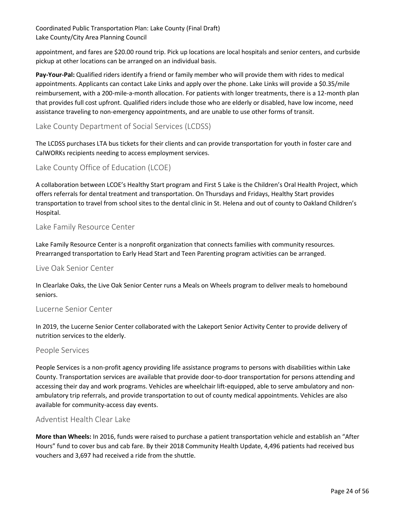appointment, and fares are \$20.00 round trip. Pick up locations are local hospitals and senior centers, and curbside pickup at other locations can be arranged on an individual basis.

**Pay-Your-Pal:** Qualified riders identify a friend or family member who will provide them with rides to medical appointments. Applicants can contact Lake Links and apply over the phone. Lake Links will provide a \$0.35/mile reimbursement, with a 200-mile-a-month allocation. For patients with longer treatments, there is a 12-month plan that provides full cost upfront. Qualified riders include those who are elderly or disabled, have low income, need assistance traveling to non-emergency appointments, and are unable to use other forms of transit.

## Lake County Department of Social Services (LCDSS)

The LCDSS purchases LTA bus tickets for their clients and can provide transportation for youth in foster care and CalWORKs recipients needing to access employment services.

## Lake County Office of Education (LCOE)

A collaboration between LCOE's Healthy Start program and First 5 Lake is the Children's Oral Health Project, which offers referrals for dental treatment and transportation. On Thursdays and Fridays, Healthy Start provides transportation to travel from school sites to the dental clinic in St. Helena and out of county to Oakland Children's Hospital.

## Lake Family Resource Center

Lake Family Resource Center is a nonprofit organization that connects families with community resources. Prearranged transportation to Early Head Start and Teen Parenting program activities can be arranged.

#### Live Oak Senior Center

In Clearlake Oaks, the Live Oak Senior Center runs a Meals on Wheels program to deliver meals to homebound seniors.

#### Lucerne Senior Center

In 2019, the Lucerne Senior Center collaborated with the Lakeport Senior Activity Center to provide delivery of nutrition services to the elderly.

#### People Services

People Services is a non-profit agency providing life assistance programs to persons with disabilities within Lake County. Transportation services are available that provide door-to-door transportation for persons attending and accessing their day and work programs. Vehicles are wheelchair lift-equipped, able to serve ambulatory and nonambulatory trip referrals, and provide transportation to out of county medical appointments. Vehicles are also available for community-access day events.

#### Adventist Health Clear Lake

**More than Wheels:** In 2016, funds were raised to purchase a patient transportation vehicle and establish an "After Hours" fund to cover bus and cab fare. By their 2018 Community Health Update, 4,496 patients had received bus vouchers and 3,697 had received a ride from the shuttle.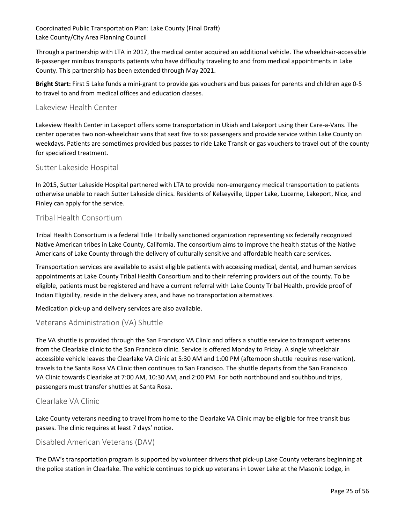Through a partnership with LTA in 2017, the medical center acquired an additional vehicle. The wheelchair-accessible 8-passenger minibus transports patients who have difficulty traveling to and from medical appointments in Lake County. This partnership has been extended through May 2021.

**Bright Start:** First 5 Lake funds a mini-grant to provide gas vouchers and bus passes for parents and children age 0-5 to travel to and from medical offices and education classes.

#### Lakeview Health Center

Lakeview Health Center in Lakeport offers some transportation in Ukiah and Lakeport using their Care-a-Vans. The center operates two non-wheelchair vans that seat five to six passengers and provide service within Lake County on weekdays. Patients are sometimes provided bus passes to ride Lake Transit or gas vouchers to travel out of the county for specialized treatment.

#### Sutter Lakeside Hospital

In 2015, Sutter Lakeside Hospital partnered with LTA to provide non-emergency medical transportation to patients otherwise unable to reach Sutter Lakeside clinics. Residents of Kelseyville, Upper Lake, Lucerne, Lakeport, Nice, and Finley can apply for the service.

#### Tribal Health Consortium

Tribal Health Consortium is a federal Title I tribally sanctioned organization representing six federally recognized Native American tribes in Lake County, California. The consortium aims to improve the health status of the Native Americans of Lake County through the delivery of culturally sensitive and affordable health care services.

Transportation services are available to assist eligible patients with accessing medical, dental, and human services appointments at Lake County Tribal Health Consortium and to their referring providers out of the county. To be eligible, patients must be registered and have a current referral with Lake County Tribal Health, provide proof of Indian Eligibility, reside in the delivery area, and have no transportation alternatives.

Medication pick-up and delivery services are also available.

## Veterans Administration (VA) Shuttle

The VA shuttle is provided through the San Francisco VA Clinic and offers a shuttle service to transport veterans from the Clearlake clinic to the San Francisco clinic. Service is offered Monday to Friday. A single wheelchair accessible vehicle leaves the Clearlake VA Clinic at 5:30 AM and 1:00 PM (afternoon shuttle requires reservation), travels to the Santa Rosa VA Clinic then continues to San Francisco. The shuttle departs from the San Francisco VA Clinic towards Clearlake at 7:00 AM, 10:30 AM, and 2:00 PM. For both northbound and southbound trips, passengers must transfer shuttles at Santa Rosa.

#### Clearlake VA Clinic

Lake County veterans needing to travel from home to the Clearlake VA Clinic may be eligible for free transit bus passes. The clinic requires at least 7 days' notice.

#### Disabled American Veterans (DAV)

The DAV's transportation program is supported by volunteer drivers that pick-up Lake County veterans beginning at the police station in Clearlake. The vehicle continues to pick up veterans in Lower Lake at the Masonic Lodge, in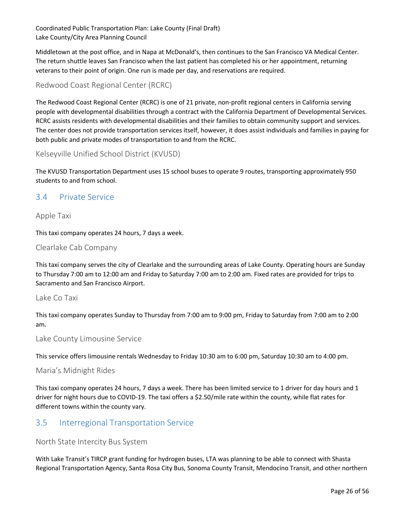Middletown at the post office, and in Napa at McDonald's, then continues to the San Francisco VA Medical Center. The return shuttle leaves San Francisco when the last patient has completed his or her appointment, returning veterans to their point of origin. One run is made per day, and reservations are required.

Redwood Coast Regional Center (RCRC)

The Redwood Coast Regional Center (RCRC) is one of 21 private, non-profit regional centers in California serving people with developmental disabilities through a contract with the California Department of Developmental Services. RCRC assists residents with developmental disabilities and their families to obtain community support and services. The center does not provide transportation services itself, however, it does assist individuals and families in paying for both public and private modes of transportation to and from the RCRC.

Kelseyville Unified School District (KVUSD)

The KVUSD Transportation Department uses 15 school buses to operate 9 routes, transporting approximately 950 students to and from school.

## <span id="page-25-0"></span>3.4 Private Service

Apple Taxi

This taxi company operates 24 hours, 7 days a week.

#### Clearlake Cab Company

This taxi company serves the city of Clearlake and the surrounding areas of Lake County. Operating hours are Sunday to Thursday 7:00 am to 12:00 am and Friday to Saturday 7:00 am to 2:00 am. Fixed rates are provided for trips to Sacramento and San Francisco Airport.

Lake Co Taxi

This taxi company operates Sunday to Thursday from 7:00 am to 9:00 pm, Friday to Saturday from 7:00 am to 2:00 am.

Lake County Limousine Service

This service offers limousine rentals Wednesday to Friday 10:30 am to 6:00 pm, Saturday 10:30 am to 4:00 pm.

#### Maria's Midnight Rides

This taxi company operates 24 hours, 7 days a week. There has been limited service to 1 driver for day hours and 1 driver for night hours due to COVID-19. The taxi offers a \$2.50/mile rate within the county, while flat rates for different towns within the county vary.

# <span id="page-25-1"></span>3.5 Interregional Transportation Service

#### North State Intercity Bus System

With Lake Transit's TIRCP grant funding for hydrogen buses, LTA was planning to be able to connect with Shasta Regional Transportation Agency, Santa Rosa City Bus, Sonoma County Transit, Mendocino Transit, and other northern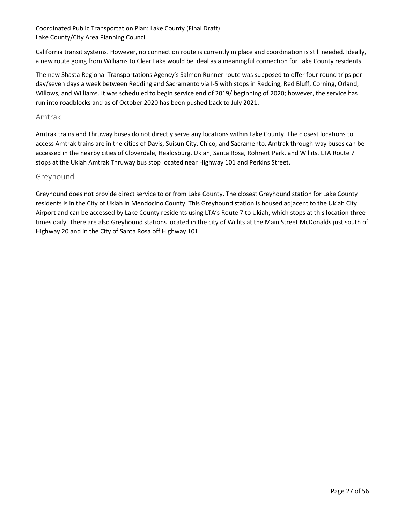California transit systems. However, no connection route is currently in place and coordination is still needed. Ideally, a new route going from Williams to Clear Lake would be ideal as a meaningful connection for Lake County residents.

The new Shasta Regional Transportations Agency's Salmon Runner route was supposed to offer four round trips per day/seven days a week between Redding and Sacramento via I-5 with stops in Redding, Red Bluff, Corning, Orland, Willows, and Williams. It was scheduled to begin service end of 2019/ beginning of 2020; however, the service has run into roadblocks and as of October 2020 has been pushed back to July 2021.

#### Amtrak

Amtrak trains and Thruway buses do not directly serve any locations within Lake County. The closest locations to access Amtrak trains are in the cities of Davis, Suisun City, Chico, and Sacramento. Amtrak through-way buses can be accessed in the nearby cities of Cloverdale, Healdsburg, Ukiah, Santa Rosa, Rohnert Park, and Willits. LTA Route 7 stops at the Ukiah Amtrak Thruway bus stop located near Highway 101 and Perkins Street.

## Greyhound

Greyhound does not provide direct service to or from Lake County. The closest Greyhound station for Lake County residents is in the City of Ukiah in Mendocino County. This Greyhound station is housed adjacent to the Ukiah City Airport and can be accessed by Lake County residents using LTA's Route 7 to Ukiah, which stops at this location three times daily. There are also Greyhound stations located in the city of Willits at the Main Street McDonalds just south of Highway 20 and in the City of Santa Rosa off Highway 101.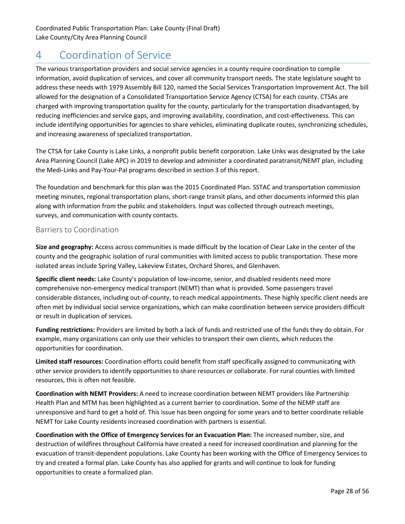# <span id="page-27-0"></span>4 Coordination of Service

The various transportation providers and social service agencies in a county require coordination to compile information, avoid duplication of services, and cover all community transport needs. The state legislature sought to address these needs with 1979 Assembly Bill 120, named the Social Services Transportation Improvement Act. The bill allowed for the designation of a Consolidated Transportation Service Agency (CTSA) for each county. CTSAs are charged with improving transportation quality for the county, particularly for the transportation disadvantaged, by reducing inefficiencies and service gaps, and improving availability, coordination, and cost-effectiveness. This can include identifying opportunities for agencies to share vehicles, eliminating duplicate routes, synchronizing schedules, and increasing awareness of specialized transportation.

The CTSA for Lake County is Lake Links, a nonprofit public benefit corporation. Lake Links was designated by the Lake Area Planning Council (Lake APC) in 2019 to develop and administer a coordinated paratransit/NEMT plan, including the Medi-Links and Pay-Your-Pal programs described in section 3 of this report.

The foundation and benchmark for this plan was the 2015 Coordinated Plan. SSTAC and transportation commission meeting minutes, regional transportation plans, short-range transit plans, and other documents informed this plan along with information from the public and stakeholders. Input was collected through outreach meetings, surveys, and communication with county contacts.

## Barriers to Coordination

**Size and geography:** Access across communities is made difficult by the location of Clear Lake in the center of the county and the geographic isolation of rural communities with limited access to public transportation. These more isolated areas include Spring Valley, Lakeview Estates, Orchard Shores, and Glenhaven.

**Specific client needs:** Lake County's population of low-income, senior, and disabled residents need more comprehensive non-emergency medical transport (NEMT) than what is provided. Some passengers travel considerable distances, including out-of-county, to reach medical appointments. These highly specific client needs are often met by individual social service organizations, which can make coordination between service providers difficult or result in duplication of services.

**Funding restrictions:** Providers are limited by both a lack of funds and restricted use of the funds they do obtain. For example, many organizations can only use their vehicles to transport their own clients, which reduces the opportunities for coordination.

**Limited staff resources:** Coordination efforts could benefit from staff specifically assigned to communicating with other service providers to identify opportunities to share resources or collaborate. For rural counties with limited resources, this is often not feasible.

**Coordination with NEMT Providers:** A need to increase coordination between NEMT providers like Partnership Health Plan and MTM has been highlighted as a current barrier to coordination. Some of the NEMP staff are unresponsive and hard to get a hold of. This issue has been ongoing for some years and to better coordinate reliable NEMT for Lake County residents increased coordination with partners is essential.

**Coordination with the Office of Emergency Services for an Evacuation Plan:** The increased number, size, and destruction of wildfires throughout California have created a need for increased coordination and planning for the evacuation of transit-dependent populations. Lake County has been working with the Office of Emergency Services to try and created a formal plan. Lake County has also applied for grants and will continue to look for funding opportunities to create a formalized plan.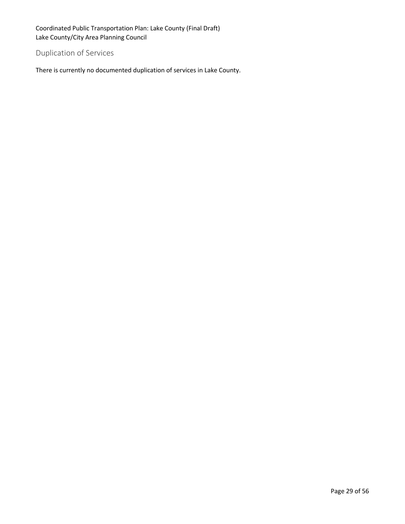Duplication of Services

There is currently no documented duplication of services in Lake County.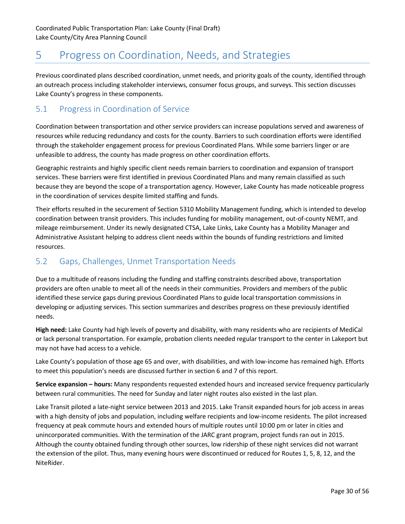# <span id="page-29-0"></span>5 Progress on Coordination, Needs, and Strategies

Previous coordinated plans described coordination, unmet needs, and priority goals of the county, identified through an outreach process including stakeholder interviews, consumer focus groups, and surveys. This section discusses Lake County's progress in these components.

# <span id="page-29-1"></span>5.1 Progress in Coordination of Service

Coordination between transportation and other service providers can increase populations served and awareness of resources while reducing redundancy and costs for the county. Barriers to such coordination efforts were identified through the stakeholder engagement process for previous Coordinated Plans. While some barriers linger or are unfeasible to address, the county has made progress on other coordination efforts.

Geographic restraints and highly specific client needs remain barriers to coordination and expansion of transport services. These barriers were first identified in previous Coordinated Plans and many remain classified as such because they are beyond the scope of a transportation agency. However, Lake County has made noticeable progress in the coordination of services despite limited staffing and funds.

Their efforts resulted in the securement of Section 5310 Mobility Management funding, which is intended to develop coordination between transit providers. This includes funding for mobility management, out-of-county NEMT, and mileage reimbursement. Under its newly designated CTSA, Lake Links, Lake County has a Mobility Manager and Administrative Assistant helping to address client needs within the bounds of funding restrictions and limited resources.

# <span id="page-29-2"></span>5.2 Gaps, Challenges, Unmet Transportation Needs

Due to a multitude of reasons including the funding and staffing constraints described above, transportation providers are often unable to meet all of the needs in their communities. Providers and members of the public identified these service gaps during previous Coordinated Plans to guide local transportation commissions in developing or adjusting services. This section summarizes and describes progress on these previously identified needs.

**High need:** Lake County had high levels of poverty and disability, with many residents who are recipients of MediCal or lack personal transportation. For example, probation clients needed regular transport to the center in Lakeport but may not have had access to a vehicle.

Lake County's population of those age 65 and over, with disabilities, and with low-income has remained high. Efforts to meet this population's needs are discussed further in section 6 and 7 of this report.

**Service expansion – hours:** Many respondents requested extended hours and increased service frequency particularly between rural communities. The need for Sunday and later night routes also existed in the last plan.

Lake Transit piloted a late-night service between 2013 and 2015. Lake Transit expanded hours for job access in areas with a high density of jobs and population, including welfare recipients and low-income residents. The pilot increased frequency at peak commute hours and extended hours of multiple routes until 10:00 pm or later in cities and unincorporated communities. With the termination of the JARC grant program, project funds ran out in 2015. Although the county obtained funding through other sources, low ridership of these night services did not warrant the extension of the pilot. Thus, many evening hours were discontinued or reduced for Routes 1, 5, 8, 12, and the NiteRider.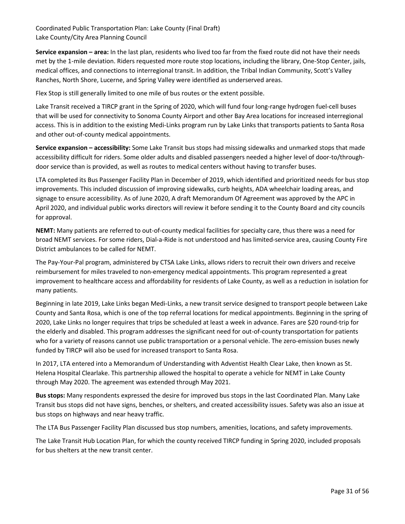**Service expansion – area:** In the last plan, residents who lived too far from the fixed route did not have their needs met by the 1-mile deviation. Riders requested more route stop locations, including the library, One-Stop Center, jails, medical offices, and connections to interregional transit. In addition, the Tribal Indian Community, Scott's Valley Ranches, North Shore, Lucerne, and Spring Valley were identified as underserved areas.

Flex Stop is still generally limited to one mile of bus routes or the extent possible.

Lake Transit received a TIRCP grant in the Spring of 2020, which will fund four long-range hydrogen fuel-cell buses that will be used for connectivity to Sonoma County Airport and other Bay Area locations for increased interregional access. This is in addition to the existing Medi-Links program run by Lake Links that transports patients to Santa Rosa and other out-of-county medical appointments.

**Service expansion – accessibility:** Some Lake Transit bus stops had missing sidewalks and unmarked stops that made accessibility difficult for riders. Some older adults and disabled passengers needed a higher level of door-to/throughdoor service than is provided, as well as routes to medical centers without having to transfer buses.

LTA completed its Bus Passenger Facility Plan in December of 2019, which identified and prioritized needs for bus stop improvements. This included discussion of improving sidewalks, curb heights, ADA wheelchair loading areas, and signage to ensure accessibility. As of June 2020, A draft Memorandum Of Agreement was approved by the APC in April 2020, and individual public works directors will review it before sending it to the County Board and city councils for approval.

**NEMT:** Many patients are referred to out-of-county medical facilities for specialty care, thus there was a need for broad NEMT services. For some riders, Dial-a-Ride is not understood and has limited-service area, causing County Fire District ambulances to be called for NEMT.

The Pay-Your-Pal program, administered by CTSA Lake Links, allows riders to recruit their own drivers and receive reimbursement for miles traveled to non-emergency medical appointments. This program represented a great improvement to healthcare access and affordability for residents of Lake County, as well as a reduction in isolation for many patients.

Beginning in late 2019, Lake Links began Medi-Links, a new transit service designed to transport people between Lake County and Santa Rosa, which is one of the top referral locations for medical appointments. Beginning in the spring of 2020, Lake Links no longer requires that trips be scheduled at least a week in advance. Fares are \$20 round-trip for the elderly and disabled. This program addresses the significant need for out-of-county transportation for patients who for a variety of reasons cannot use public transportation or a personal vehicle. The zero-emission buses newly funded by TIRCP will also be used for increased transport to Santa Rosa.

In 2017, LTA entered into a Memorandum of Understanding with Adventist Health Clear Lake, then known as St. Helena Hospital Clearlake. This partnership allowed the hospital to operate a vehicle for NEMT in Lake County through May 2020. The agreement was extended through May 2021.

**Bus stops:** Many respondents expressed the desire for improved bus stops in the last Coordinated Plan. Many Lake Transit bus stops did not have signs, benches, or shelters, and created accessibility issues. Safety was also an issue at bus stops on highways and near heavy traffic.

The LTA Bus Passenger Facility Plan discussed bus stop numbers, amenities, locations, and safety improvements.

The Lake Transit Hub Location Plan, for which the county received TIRCP funding in Spring 2020, included proposals for bus shelters at the new transit center.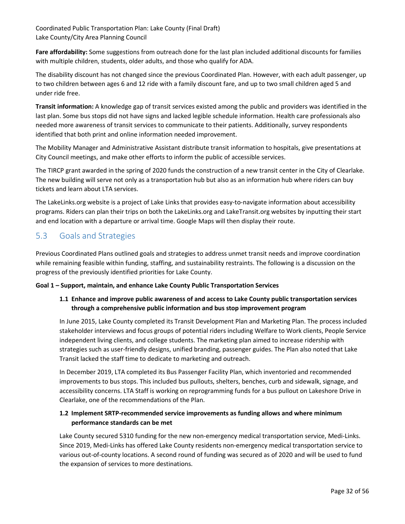**Fare affordability:** Some suggestions from outreach done for the last plan included additional discounts for families with multiple children, students, older adults, and those who qualify for ADA.

The disability discount has not changed since the previous Coordinated Plan. However, with each adult passenger, up to two children between ages 6 and 12 ride with a family discount fare, and up to two small children aged 5 and under ride free.

**Transit information:** A knowledge gap of transit services existed among the public and providers was identified in the last plan. Some bus stops did not have signs and lacked legible schedule information. Health care professionals also needed more awareness of transit services to communicate to their patients. Additionally, survey respondents identified that both print and online information needed improvement.

The Mobility Manager and Administrative Assistant distribute transit information to hospitals, give presentations at City Council meetings, and make other efforts to inform the public of accessible services.

The TIRCP grant awarded in the spring of 2020 funds the construction of a new transit center in the City of Clearlake. The new building will serve not only as a transportation hub but also as an information hub where riders can buy tickets and learn about LTA services.

The LakeLinks.org website is a project of Lake Links that provides easy-to-navigate information about accessibility programs. Riders can plan their trips on both the LakeLinks.org and LakeTransit.org websites by inputting their start and end location with a departure or arrival time. Google Maps will then display their route.

# <span id="page-31-0"></span>5.3 Goals and Strategies

Previous Coordinated Plans outlined goals and strategies to address unmet transit needs and improve coordination while remaining feasible within funding, staffing, and sustainability restraints. The following is a discussion on the progress of the previously identified priorities for Lake County.

#### **Goal 1 – Support, maintain, and enhance Lake County Public Transportation Services**

## **1.1 Enhance and improve public awareness of and access to Lake County public transportation services through a comprehensive public information and bus stop improvement program**

In June 2015, Lake County completed its Transit Development Plan and Marketing Plan. The process included stakeholder interviews and focus groups of potential riders including Welfare to Work clients, People Service independent living clients, and college students. The marketing plan aimed to increase ridership with strategies such as user-friendly designs, unified branding, passenger guides. The Plan also noted that Lake Transit lacked the staff time to dedicate to marketing and outreach.

In December 2019, LTA completed its Bus Passenger Facility Plan, which inventoried and recommended improvements to bus stops. This included bus pullouts, shelters, benches, curb and sidewalk, signage, and accessibility concerns. LTA Staff is working on reprogramming funds for a bus pullout on Lakeshore Drive in Clearlake, one of the recommendations of the Plan.

## **1.2 Implement SRTP-recommended service improvements as funding allows and where minimum performance standards can be met**

Lake County secured 5310 funding for the new non-emergency medical transportation service, Medi-Links. Since 2019, Medi-Links has offered Lake County residents non-emergency medical transportation service to various out-of-county locations. A second round of funding was secured as of 2020 and will be used to fund the expansion of services to more destinations.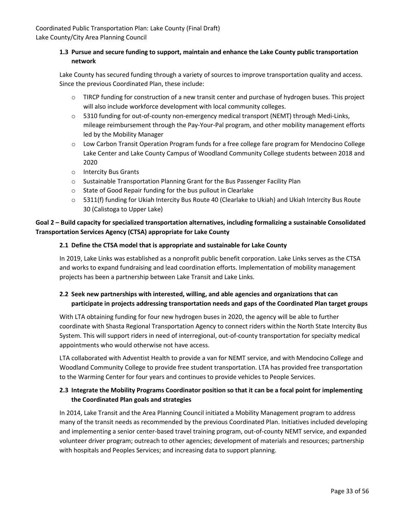### **1.3 Pursue and secure funding to support, maintain and enhance the Lake County public transportation network**

Lake County has secured funding through a variety of sources to improve transportation quality and access. Since the previous Coordinated Plan, these include:

- $\circ$  TIRCP funding for construction of a new transit center and purchase of hydrogen buses. This project will also include workforce development with local community colleges.
- o 5310 funding for out-of-county non-emergency medical transport (NEMT) through Medi-Links, mileage reimbursement through the Pay-Your-Pal program, and other mobility management efforts led by the Mobility Manager
- o Low Carbon Transit Operation Program funds for a free college fare program for Mendocino College Lake Center and Lake County Campus of Woodland Community College students between 2018 and 2020
- o Intercity Bus Grants
- o Sustainable Transportation Planning Grant for the Bus Passenger Facility Plan
- o State of Good Repair funding for the bus pullout in Clearlake
- $\circ$  5311(f) funding for Ukiah Intercity Bus Route 40 (Clearlake to Ukiah) and Ukiah Intercity Bus Route 30 (Calistoga to Upper Lake)

## **Goal 2 – Build capacity for specialized transportation alternatives, including formalizing a sustainable Consolidated Transportation Services Agency (CTSA) appropriate for Lake County**

#### **2.1 Define the CTSA model that is appropriate and sustainable for Lake County**

In 2019, Lake Links was established as a nonprofit public benefit corporation. Lake Links serves as the CTSA and works to expand fundraising and lead coordination efforts. Implementation of mobility management projects has been a partnership between Lake Transit and Lake Links.

## **2.2 Seek new partnerships with interested, willing, and able agencies and organizations that can participate in projects addressing transportation needs and gaps of the Coordinated Plan target groups**

With LTA obtaining funding for four new hydrogen buses in 2020, the agency will be able to further coordinate with Shasta Regional Transportation Agency to connect riders within the North State Intercity Bus System. This will support riders in need of interregional, out-of-county transportation for specialty medical appointments who would otherwise not have access.

LTA collaborated with Adventist Health to provide a van for NEMT service, and with Mendocino College and Woodland Community College to provide free student transportation. LTA has provided free transportation to the Warming Center for four years and continues to provide vehicles to People Services.

#### **2.3 Integrate the Mobility Programs Coordinator position so that it can be a focal point for implementing the Coordinated Plan goals and strategies**

In 2014, Lake Transit and the Area Planning Council initiated a Mobility Management program to address many of the transit needs as recommended by the previous Coordinated Plan. Initiatives included developing and implementing a senior center-based travel training program, out-of-county NEMT service, and expanded volunteer driver program; outreach to other agencies; development of materials and resources; partnership with hospitals and Peoples Services; and increasing data to support planning.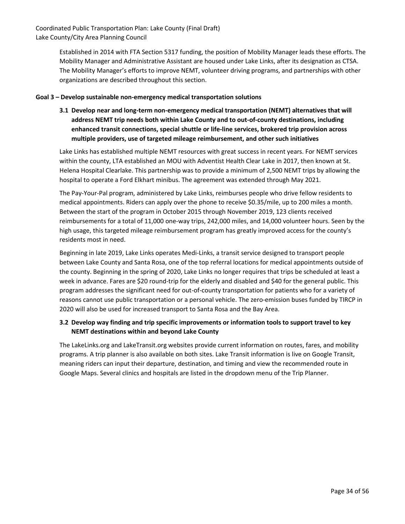> Established in 2014 with FTA Section 5317 funding, the position of Mobility Manager leads these efforts. The Mobility Manager and Administrative Assistant are housed under Lake Links, after its designation as CTSA. The Mobility Manager's efforts to improve NEMT, volunteer driving programs, and partnerships with other organizations are described throughout this section.

#### **Goal 3 – Develop sustainable non-emergency medical transportation solutions**

**3.1 Develop near and long-term non-emergency medical transportation (NEMT) alternatives that will address NEMT trip needs both within Lake County and to out-of-county destinations, including enhanced transit connections, special shuttle or life-line services, brokered trip provision across multiple providers, use of targeted mileage reimbursement, and other such initiatives** 

Lake Links has established multiple NEMT resources with great success in recent years. For NEMT services within the county, LTA established an MOU with Adventist Health Clear Lake in 2017, then known at St. Helena Hospital Clearlake. This partnership was to provide a minimum of 2,500 NEMT trips by allowing the hospital to operate a Ford Elkhart minibus. The agreement was extended through May 2021.

The Pay-Your-Pal program, administered by Lake Links, reimburses people who drive fellow residents to medical appointments. Riders can apply over the phone to receive \$0.35/mile, up to 200 miles a month. Between the start of the program in October 2015 through November 2019, 123 clients received reimbursements for a total of 11,000 one-way trips, 242,000 miles, and 14,000 volunteer hours. Seen by the high usage, this targeted mileage reimbursement program has greatly improved access for the county's residents most in need.

Beginning in late 2019, Lake Links operates Medi-Links, a transit service designed to transport people between Lake County and Santa Rosa, one of the top referral locations for medical appointments outside of the county. Beginning in the spring of 2020, Lake Links no longer requires that trips be scheduled at least a week in advance. Fares are \$20 round-trip for the elderly and disabled and \$40 for the general public. This program addresses the significant need for out-of-county transportation for patients who for a variety of reasons cannot use public transportation or a personal vehicle. The zero-emission buses funded by TIRCP in 2020 will also be used for increased transport to Santa Rosa and the Bay Area.

#### **3.2 Develop way finding and trip specific improvements or information tools to support travel to key NEMT destinations within and beyond Lake County**

The LakeLinks.org and LakeTransit.org websites provide current information on routes, fares, and mobility programs. A trip planner is also available on both sites. Lake Transit information is live on Google Transit, meaning riders can input their departure, destination, and timing and view the recommended route in Google Maps. Several clinics and hospitals are listed in the dropdown menu of the Trip Planner.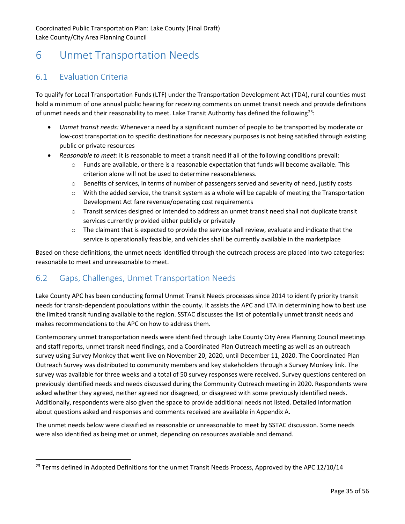# <span id="page-34-0"></span>6 Unmet Transportation Needs

# <span id="page-34-1"></span>6.1 Evaluation Criteria

To qualify for Local Transportation Funds (LTF) under the Transportation Development Act (TDA), rural counties must hold a minimum of one annual public hearing for receiving comments on unmet transit needs and provide definitions of unmet needs and their reasonability to meet. Lake Transit Authority has defined the following<sup>[23](#page-34-3)</sup>:

- *Unmet transit needs:* Whenever a need by a significant number of people to be transported by moderate or low-cost transportation to specific destinations for necessary purposes is not being satisfied through existing public or private resources
- *Reasonable to meet:* It is reasonable to meet a transit need if all of the following conditions prevail:
	- $\circ$  Funds are available, or there is a reasonable expectation that funds will become available. This criterion alone will not be used to determine reasonableness.
	- $\circ$  Benefits of services, in terms of number of passengers served and severity of need, justify costs
	- $\circ$  With the added service, the transit system as a whole will be capable of meeting the Transportation Development Act fare revenue/operating cost requirements
	- o Transit services designed or intended to address an unmet transit need shall not duplicate transit services currently provided either publicly or privately
	- $\circ$  The claimant that is expected to provide the service shall review, evaluate and indicate that the service is operationally feasible, and vehicles shall be currently available in the marketplace

Based on these definitions, the unmet needs identified through the outreach process are placed into two categories: reasonable to meet and unreasonable to meet.

# <span id="page-34-2"></span>6.2 Gaps, Challenges, Unmet Transportation Needs

Lake County APC has been conducting formal Unmet Transit Needs processes since 2014 to identify priority transit needs for transit-dependent populations within the county. It assists the APC and LTA in determining how to best use the limited transit funding available to the region. SSTAC discusses the list of potentially unmet transit needs and makes recommendations to the APC on how to address them.

Contemporary unmet transportation needs were identified through Lake County City Area Planning Council meetings and staff reports, unmet transit need findings, and a Coordinated Plan Outreach meeting as well as an outreach survey using Survey Monkey that went live on November 20, 2020, until December 11, 2020. The Coordinated Plan Outreach Survey was distributed to community members and key stakeholders through a Survey Monkey link. The survey was available for three weeks and a total of 50 survey responses were received. Survey questions centered on previously identified needs and needs discussed during the Community Outreach meeting in 2020. Respondents were asked whether they agreed, neither agreed nor disagreed, or disagreed with some previously identified needs. Additionally, respondents were also given the space to provide additional needs not listed. Detailed information about questions asked and responses and comments received are available in Appendix A.

The unmet needs below were classified as reasonable or unreasonable to meet by SSTAC discussion. Some needs were also identified as being met or unmet, depending on resources available and demand.

<span id="page-34-3"></span><sup>&</sup>lt;sup>23</sup> Terms defined in Adopted Definitions for the unmet Transit Needs Process, Approved by the APC 12/10/14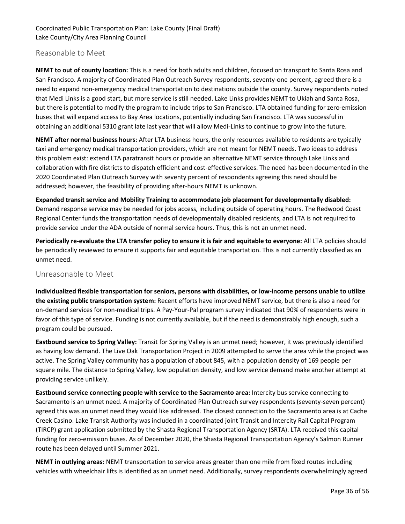#### Reasonable to Meet

**NEMT to out of county location:** This is a need for both adults and children, focused on transport to Santa Rosa and San Francisco. A majority of Coordinated Plan Outreach Survey respondents, seventy-one percent, agreed there is a need to expand non-emergency medical transportation to destinations outside the county. Survey respondents noted that Medi Links is a good start, but more service is still needed. Lake Links provides NEMT to Ukiah and Santa Rosa, but there is potential to modify the program to include trips to San Francisco. LTA obtained funding for zero-emission buses that will expand access to Bay Area locations, potentially including San Francisco. LTA was successful in obtaining an additional 5310 grant late last year that will allow Medi-Links to continue to grow into the future.

**NEMT after normal business hours:** After LTA business hours, the only resources available to residents are typically taxi and emergency medical transportation providers, which are not meant for NEMT needs. Two ideas to address this problem exist: extend LTA paratransit hours or provide an alternative NEMT service through Lake Links and collaboration with fire districts to dispatch efficient and cost-effective services. The need has been documented in the 2020 Coordinated Plan Outreach Survey with seventy percent of respondents agreeing this need should be addressed; however, the feasibility of providing after-hours NEMT is unknown.

**Expanded transit service and Mobility Training to accommodate job placement for developmentally disabled:** Demand response service may be needed for jobs access, including outside of operating hours. The Redwood Coast Regional Center funds the transportation needs of developmentally disabled residents, and LTA is not required to provide service under the ADA outside of normal service hours. Thus, this is not an unmet need.

**Periodically re-evaluate the LTA transfer policy to ensure it is fair and equitable to everyone:** All LTA policies should be periodically reviewed to ensure it supports fair and equitable transportation. This is not currently classified as an unmet need.

## Unreasonable to Meet

**Individualized flexible transportation for seniors, persons with disabilities, or low-income persons unable to utilize the existing public transportation system:** Recent efforts have improved NEMT service, but there is also a need for on-demand services for non-medical trips. A Pay-Your-Pal program survey indicated that 90% of respondents were in favor of this type of service. Funding is not currently available, but if the need is demonstrably high enough, such a program could be pursued.

**Eastbound service to Spring Valley:** Transit for Spring Valley is an unmet need; however, it was previously identified as having low demand. The Live Oak Transportation Project in 2009 attempted to serve the area while the project was active. The Spring Valley community has a population of about 845, with a population density of 169 people per square mile. The distance to Spring Valley, low population density, and low service demand make another attempt at providing service unlikely.

**Eastbound service connecting people with service to the Sacramento area:** Intercity bus service connecting to Sacramento is an unmet need. A majority of Coordinated Plan Outreach survey respondents (seventy-seven percent) agreed this was an unmet need they would like addressed. The closest connection to the Sacramento area is at Cache Creek Casino. Lake Transit Authority was included in a coordinated joint Transit and Intercity Rail Capital Program (TIRCP) grant application submitted by the Shasta Regional Transportation Agency (SRTA). LTA received this capital funding for zero-emission buses. As of December 2020, the Shasta Regional Transportation Agency's Salmon Runner route has been delayed until Summer 2021.

**NEMT in outlying areas:** NEMT transportation to service areas greater than one mile from fixed routes including vehicles with wheelchair lifts is identified as an unmet need. Additionally, survey respondents overwhelmingly agreed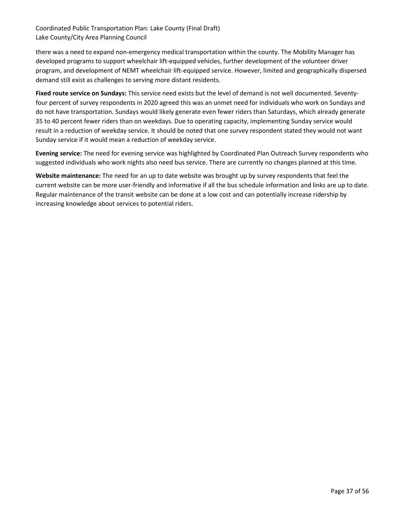there was a need to expand non-emergency medical transportation within the county. The Mobility Manager has developed programs to support wheelchair lift-equipped vehicles, further development of the volunteer driver program, and development of NEMT wheelchair lift-equipped service. However, limited and geographically dispersed demand still exist as challenges to serving more distant residents.

**Fixed route service on Sundays:** This service need exists but the level of demand is not well documented. Seventyfour percent of survey respondents in 2020 agreed this was an unmet need for individuals who work on Sundays and do not have transportation. Sundays would likely generate even fewer riders than Saturdays, which already generate 35 to 40 percent fewer riders than on weekdays. Due to operating capacity, implementing Sunday service would result in a reduction of weekday service. It should be noted that one survey respondent stated they would not want Sunday service if it would mean a reduction of weekday service.

**Evening service:** The need for evening service was highlighted by Coordinated Plan Outreach Survey respondents who suggested individuals who work nights also need bus service. There are currently no changes planned at this time.

**Website maintenance:** The need for an up to date website was brought up by survey respondents that feel the current website can be more user-friendly and informative if all the bus schedule information and links are up to date. Regular maintenance of the transit website can be done at a low cost and can potentially increase ridership by increasing knowledge about services to potential riders.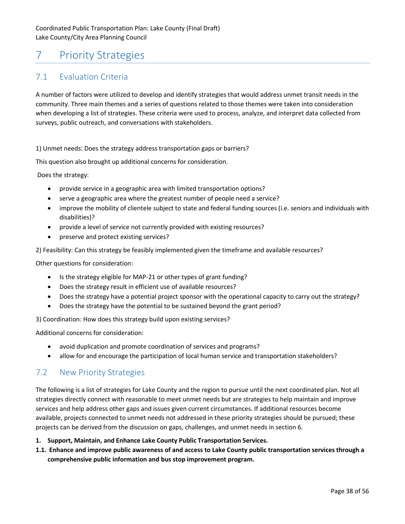# <span id="page-37-0"></span>7 Priority Strategies

# <span id="page-37-1"></span>7.1 Evaluation Criteria

A number of factors were utilized to develop and identify strategies that would address unmet transit needs in the community. Three main themes and a series of questions related to those themes were taken into consideration when developing a list of strategies. These criteria were used to process, analyze, and interpret data collected from surveys, public outreach, and conversations with stakeholders.

1) Unmet needs: Does the strategy address transportation gaps or barriers?

This question also brought up additional concerns for consideration.

Does the strategy:

- provide service in a geographic area with limited transportation options?
- serve a geographic area where the greatest number of people need a service?
- improve the mobility of clientele subject to state and federal funding sources (i.e. seniors and individuals with disabilities)?
- provide a level of service not currently provided with existing resources?
- preserve and protect existing services?

2) Feasibility: Can this strategy be feasibly implemented given the timeframe and available resources?

Other questions for consideration:

- Is the strategy eligible for MAP-21 or other types of grant funding?
- Does the strategy result in efficient use of available resources?
- Does the strategy have a potential project sponsor with the operational capacity to carry out the strategy?
- Does the strategy have the potential to be sustained beyond the grant period?

3) Coordination: How does this strategy build upon existing services?

Additional concerns for consideration:

- avoid duplication and promote coordination of services and programs?
- allow for and encourage the participation of local human service and transportation stakeholders?

# <span id="page-37-2"></span>7.2 New Priority Strategies

The following is a list of strategies for Lake County and the region to pursue until the next coordinated plan. Not all strategies directly connect with reasonable to meet unmet needs but are strategies to help maintain and improve services and help address other gaps and issues given current circumstances. If additional resources become available, projects connected to unmet needs not addressed in these priority strategies should be pursued; these projects can be derived from the discussion on gaps, challenges, and unmet needs in section 6.

- **1. Support, Maintain, and Enhance Lake County Public Transportation Services.**
- **1.1. Enhance and improve public awareness of and access to Lake County public transportation services through a comprehensive public information and bus stop improvement program.**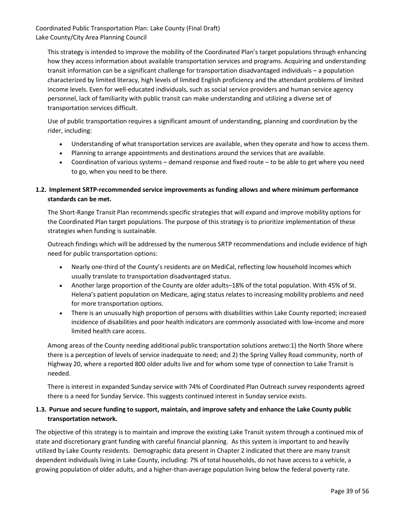This strategy is intended to improve the mobility of the Coordinated Plan's target populations through enhancing how they access information about available transportation services and programs. Acquiring and understanding transit information can be a significant challenge for transportation disadvantaged individuals – a population characterized by limited literacy, high levels of limited English proficiency and the attendant problems of limited income levels. Even for well-educated individuals, such as social service providers and human service agency personnel, lack of familiarity with public transit can make understanding and utilizing a diverse set of transportation services difficult.

Use of public transportation requires a significant amount of understanding, planning and coordination by the rider, including:

- Understanding of what transportation services are available, when they operate and how to access them.
- Planning to arrange appointments and destinations around the services that are available.
- Coordination of various systems demand response and fixed route to be able to get where you need to go, when you need to be there.

#### **1.2. Implement SRTP-recommended service improvements as funding allows and where minimum performance standards can be met.**

The Short-Range Transit Plan recommends specific strategies that will expand and improve mobility options for the Coordinated Plan target populations. The purpose of this strategy is to prioritize implementation of these strategies when funding is sustainable.

Outreach findings which will be addressed by the numerous SRTP recommendations and include evidence of high need for public transportation options:

- Nearly one-third of the County's residents are on MediCal, reflecting low household incomes which usually translate to transportation disadvantaged status.
- Another large proportion of the County are older adults–18% of the total population. With 45% of St. Helena's patient population on Medicare, aging status relates to increasing mobility problems and need for more transportation options.
- There is an unusually high proportion of persons with disabilities within Lake County reported; increased incidence of disabilities and poor health indicators are commonly associated with low-income and more limited health care access.

Among areas of the County needing additional public transportation solutions aretwo:1) the North Shore where there is a perception of levels of service inadequate to need; and 2) the Spring Valley Road community, north of Highway 20, where a reported 800 older adults live and for whom some type of connection to Lake Transit is needed.

There is interest in expanded Sunday service with 74% of Coordinated Plan Outreach survey respondents agreed there is a need for Sunday Service. This suggests continued interest in Sunday service exists.

#### **1.3. Pursue and secure funding to support, maintain, and improve safety and enhance the Lake County public transportation network.**

The objective of this strategy is to maintain and improve the existing Lake Transit system through a continued mix of state and discretionary grant funding with careful financial planning. As this system is important to and heavily utilized by Lake County residents. Demographic data present in Chapter 2 indicated that there are many transit dependent individuals living in Lake County, including: 7% of total households, do not have access to a vehicle, a growing population of older adults, and a higher-than-average population living below the federal poverty rate.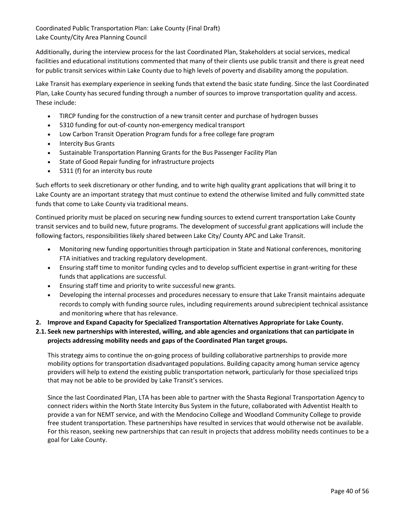Additionally, during the interview process for the last Coordinated Plan, Stakeholders at social services, medical facilities and educational institutions commented that many of their clients use public transit and there is great need for public transit services within Lake County due to high levels of poverty and disability among the population.

Lake Transit has exemplary experience in seeking funds that extend the basic state funding. Since the last Coordinated Plan, Lake County has secured funding through a number of sources to improve transportation quality and access. These include:

- TIRCP funding for the construction of a new transit center and purchase of hydrogen busses
- 5310 funding for out-of-county non-emergency medical transport
- Low Carbon Transit Operation Program funds for a free college fare program
- Intercity Bus Grants
- Sustainable Transportation Planning Grants for the Bus Passenger Facility Plan
- State of Good Repair funding for infrastructure projects
- 5311 (f) for an intercity bus route

Such efforts to seek discretionary or other funding, and to write high quality grant applications that will bring it to Lake County are an important strategy that must continue to extend the otherwise limited and fully committed state funds that come to Lake County via traditional means.

Continued priority must be placed on securing new funding sources to extend current transportation Lake County transit services and to build new, future programs. The development of successful grant applications will include the following factors, responsibilities likely shared between Lake City/ County APC and Lake Transit.

- Monitoring new funding opportunities through participation in State and National conferences, monitoring FTA initiatives and tracking regulatory development.
- Ensuring staff time to monitor funding cycles and to develop sufficient expertise in grant-writing for these funds that applications are successful.
- Ensuring staff time and priority to write successful new grants.
- Developing the internal processes and procedures necessary to ensure that Lake Transit maintains adequate records to comply with funding source rules, including requirements around subrecipient technical assistance and monitoring where that has relevance.
- **2. Improve and Expand Capacity for Specialized Transportation Alternatives Appropriate for Lake County.**
- **2.1. Seek new partnerships with interested, willing, and able agencies and organizations that can participate in projects addressing mobility needs and gaps of the Coordinated Plan target groups.**

This strategy aims to continue the on-going process of building collaborative partnerships to provide more mobility options for transportation disadvantaged populations. Building capacity among human service agency providers will help to extend the existing public transportation network, particularly for those specialized trips that may not be able to be provided by Lake Transit's services.

Since the last Coordinated Plan, LTA has been able to partner with the Shasta Regional Transportation Agency to connect riders within the North State Intercity Bus System in the future, collaborated with Adventist Health to provide a van for NEMT service, and with the Mendocino College and Woodland Community College to provide free student transportation. These partnerships have resulted in services that would otherwise not be available. For this reason, seeking new partnerships that can result in projects that address mobility needs continues to be a goal for Lake County.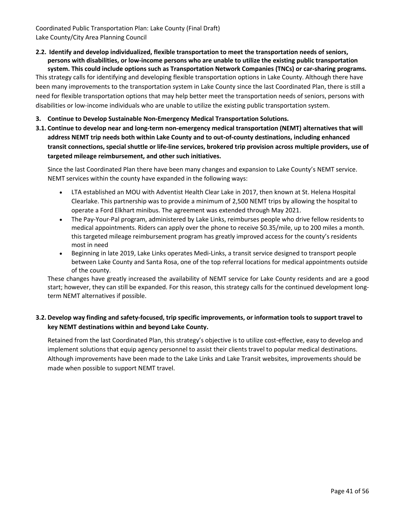**2.2. Identify and develop individualized, flexible transportation to meet the transportation needs of seniors, persons with disabilities, or low-income persons who are unable to utilize the existing public transportation** 

**system. This could include options such as Transportation Network Companies (TNCs) or car-sharing programs.** This strategy calls for identifying and developing flexible transportation options in Lake County. Although there have been many improvements to the transportation system in Lake County since the last Coordinated Plan, there is still a need for flexible transportation options that may help better meet the transportation needs of seniors, persons with disabilities or low-income individuals who are unable to utilize the existing public transportation system.

- **3. Continue to Develop Sustainable Non-Emergency Medical Transportation Solutions.**
- **3.1. Continue to develop near and long-term non-emergency medical transportation (NEMT) alternatives that will address NEMT trip needs both within Lake County and to out-of-county destinations, including enhanced transit connections, special shuttle or life-line services, brokered trip provision across multiple providers, use of targeted mileage reimbursement, and other such initiatives.**

Since the last Coordinated Plan there have been many changes and expansion to Lake County's NEMT service. NEMT services within the county have expanded in the following ways:

- LTA established an MOU with Adventist Health Clear Lake in 2017, then known at St. Helena Hospital Clearlake. This partnership was to provide a minimum of 2,500 NEMT trips by allowing the hospital to operate a Ford Elkhart minibus. The agreement was extended through May 2021.
- The Pay-Your-Pal program, administered by Lake Links, reimburses people who drive fellow residents to medical appointments. Riders can apply over the phone to receive \$0.35/mile, up to 200 miles a month. this targeted mileage reimbursement program has greatly improved access for the county's residents most in need
- Beginning in late 2019, Lake Links operates Medi-Links, a transit service designed to transport people between Lake County and Santa Rosa, one of the top referral locations for medical appointments outside of the county.

These changes have greatly increased the availability of NEMT service for Lake County residents and are a good start; however, they can still be expanded. For this reason, this strategy calls for the continued development longterm NEMT alternatives if possible.

#### **3.2. Develop way finding and safety-focused, trip specific improvements, or information tools to support travel to key NEMT destinations within and beyond Lake County.**

Retained from the last Coordinated Plan, this strategy's objective is to utilize cost-effective, easy to develop and implement solutions that equip agency personnel to assist their clients travel to popular medical destinations. Although improvements have been made to the Lake Links and Lake Transit websites, improvements should be made when possible to support NEMT travel.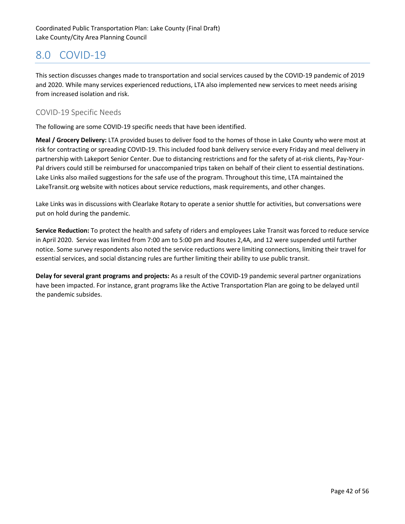# <span id="page-41-0"></span>8.0 COVID-19

This section discusses changes made to transportation and social services caused by the COVID-19 pandemic of 2019 and 2020. While many services experienced reductions, LTA also implemented new services to meet needs arising from increased isolation and risk.

## COVID-19 Specific Needs

The following are some COVID-19 specific needs that have been identified.

**Meal / Grocery Delivery:** LTA provided buses to deliver food to the homes of those in Lake County who were most at risk for contracting or spreading COVID-19. This included food bank delivery service every Friday and meal delivery in partnership with Lakeport Senior Center. Due to distancing restrictions and for the safety of at-risk clients, Pay-Your-Pal drivers could still be reimbursed for unaccompanied trips taken on behalf of their client to essential destinations. Lake Links also mailed suggestions for the safe use of the program. Throughout this time, LTA maintained the LakeTransit.org website with notices about service reductions, mask requirements, and other changes.

Lake Links was in discussions with Clearlake Rotary to operate a senior shuttle for activities, but conversations were put on hold during the pandemic.

**Service Reduction:** To protect the health and safety of riders and employees Lake Transit was forced to reduce service in April 2020. Service was limited from 7:00 am to 5:00 pm and Routes 2,4A, and 12 were suspended until further notice. Some survey respondents also noted the service reductions were limiting connections, limiting their travel for essential services, and social distancing rules are further limiting their ability to use public transit.

**Delay for several grant programs and projects:** As a result of the COVID-19 pandemic several partner organizations have been impacted. For instance, grant programs like the Active Transportation Plan are going to be delayed until the pandemic subsides.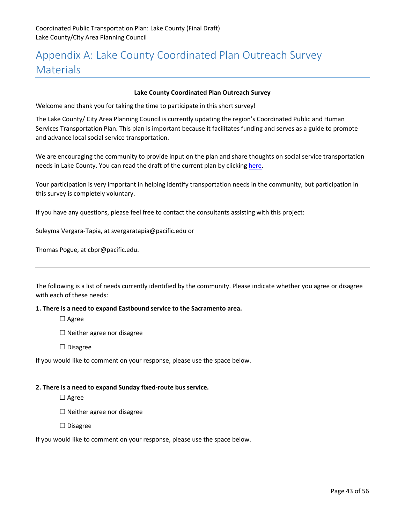# <span id="page-42-0"></span>Appendix A: Lake County Coordinated Plan Outreach Survey Materials

#### **Lake County Coordinated Plan Outreach Survey**

Welcome and thank you for taking the time to participate in this short survey!

The Lake County/ City Area Planning Council is currently updating the region's Coordinated Public and Human Services Transportation Plan. This plan is important because it facilitates funding and serves as a guide to promote and advance local social service transportation.

We are encouraging the community to provide input on the plan and share thoughts on social service transportation needs in Lake County. You can read the draft of the current plan by clicking [here.](https://www.dropbox.com/s/b8xp88cs0t9b6ev/Lake_Coordinated%20Plan_Outreach%20Draft_2020_11.pdf?dl=0)

Your participation is very important in helping identify transportation needs in the community, but participation in this survey is completely voluntary.

If you have any questions, please feel free to contact the consultants assisting with this project:

Suleyma Vergara-Tapia, at svergaratapia@pacific.edu or

Thomas Pogue, at cbpr@pacific.edu.

The following is a list of needs currently identified by the community. Please indicate whether you agree or disagree with each of these needs:

#### **1. There is a need to expand Eastbound service to the Sacramento area.**

☐ Agree

 $\Box$  Neither agree nor disagree

☐ Disagree

If you would like to comment on your response, please use the space below.

#### **2. There is a need to expand Sunday fixed-route bus service.**

☐ Agree

☐ Neither agree nor disagree

☐ Disagree

If you would like to comment on your response, please use the space below.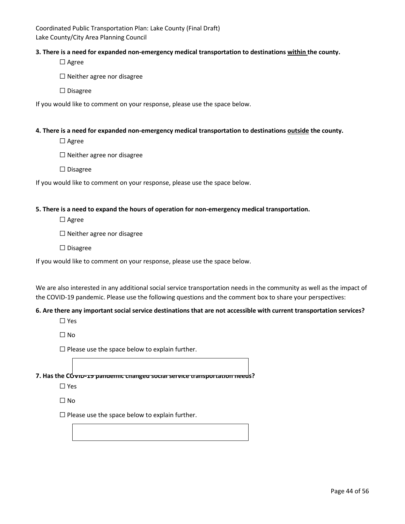#### **3. There is a need for expanded non-emergency medical transportation to destinations within the county.**

☐ Agree

☐ Neither agree nor disagree

☐ Disagree

If you would like to comment on your response, please use the space below.

#### **4. There is a need for expanded non-emergency medical transportation to destinations outside the county.**

□ Agree

☐ Neither agree nor disagree

☐ Disagree

If you would like to comment on your response, please use the space below.

#### **5. There is a need to expand the hours of operation for non-emergency medical transportation.**

☐ Agree

 $\Box$  Neither agree nor disagree

☐ Disagree

If you would like to comment on your response, please use the space below.

We are also interested in any additional social service transportation needs in the community as well as the impact of the COVID-19 pandemic. Please use the following questions and the comment box to share your perspectives:

#### 6. Are there any important social service destinations that are not accessible with current transportation services?

☐ Yes

☐ No

☐ Please use the space below to explain further.

**7. Has the COVID-19 pandemic changed social service transportation needs?**

☐ Yes

☐ No

☐ Please use the space below to explain further.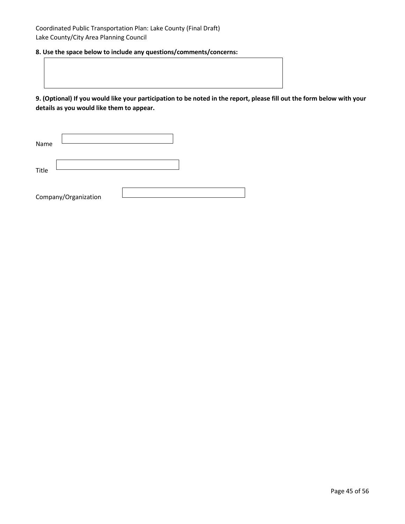**8. Use the space below to include any questions/comments/concerns:**

9. (Optional) If you would like your participation to be noted in the report, please fill out the form below with your **details as you would like them to appear.**

| Name  |                      |  |  |
|-------|----------------------|--|--|
| Title |                      |  |  |
|       | Company/Organization |  |  |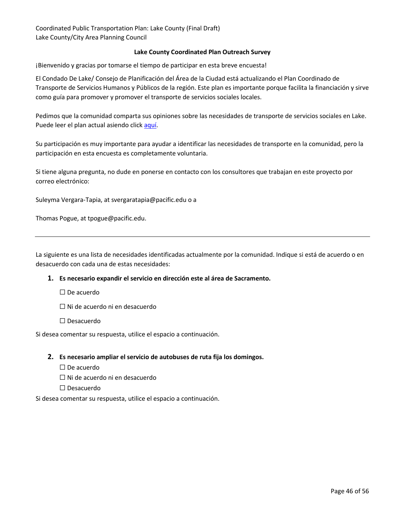#### **Lake County Coordinated Plan Outreach Survey**

¡Bienvenido y gracias por tomarse el tiempo de participar en esta breve encuesta!

El Condado De Lake/ Consejo de Planificación del Área de la Ciudad está actualizando el Plan Coordinado de Transporte de Servicios Humanos y Públicos de la región. Este plan es importante porque facilita la financiación y sirve como guía para promover y promover el transporte de servicios sociales locales.

Pedimos que la comunidad comparta sus opiniones sobre las necesidades de transporte de servicios sociales en Lake. Puede leer el plan actual asiendo click [aquí.](https://www.dropbox.com/s/b8xp88cs0t9b6ev/Lake_Coordinated%20Plan_Outreach%20Draft_2020_11.pdf?dl=0)

Su participación es muy importante para ayudar a identificar las necesidades de transporte en la comunidad, pero la participación en esta encuesta es completamente voluntaria.

Si tiene alguna pregunta, no dude en ponerse en contacto con los consultores que trabajan en este proyecto por correo electrónico:

Suleyma Vergara-Tapia, at svergaratapia@pacific.edu o a

Thomas Pogue, at tpogue@pacific.edu.

La siguiente es una lista de necesidades identificadas actualmente por la comunidad. Indique si está de acuerdo o en desacuerdo con cada una de estas necesidades:

#### **1. Es necesario expandir el servicio en dirección este al área de Sacramento.**

☐ De acuerdo

☐ Ni de acuerdo ni en desacuerdo

☐ Desacuerdo

Si desea comentar su respuesta, utilice el espacio a continuación.

#### **2. Es necesario ampliar el servicio de autobuses de ruta fija los domingos.**

☐ De acuerdo

☐ Ni de acuerdo ni en desacuerdo

☐ Desacuerdo

Si desea comentar su respuesta, utilice el espacio a continuación.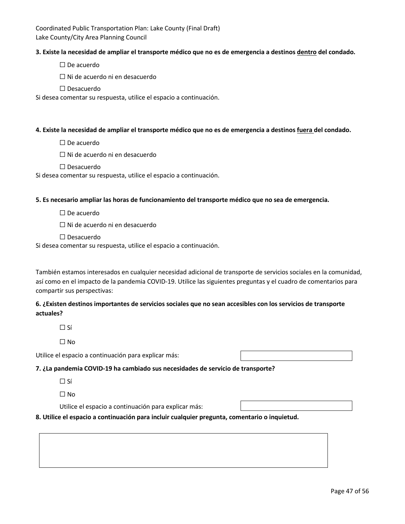#### **3. Existe la necesidad de ampliar el transporte médico que no es de emergencia a destinos dentro del condado.**

☐ De acuerdo

☐ Ni de acuerdo ni en desacuerdo

☐ Desacuerdo

Si desea comentar su respuesta, utilice el espacio a continuación.

#### **4. Existe la necesidad de ampliar el transporte médico que no es de emergencia a destinos fuera del condado.**

☐ De acuerdo

☐ Ni de acuerdo ni en desacuerdo

☐ Desacuerdo

Si desea comentar su respuesta, utilice el espacio a continuación.

#### **5. Es necesario ampliar las horas de funcionamiento del transporte médico que no sea de emergencia.**

☐ De acuerdo

☐ Ni de acuerdo ni en desacuerdo

☐ Desacuerdo

Si desea comentar su respuesta, utilice el espacio a continuación.

También estamos interesados en cualquier necesidad adicional de transporte de servicios sociales en la comunidad, así como en el impacto de la pandemia COVID-19. Utilice las siguientes preguntas y el cuadro de comentarios para compartir sus perspectivas:

#### **6. ¿Existen destinos importantes de servicios sociales que no sean accesibles con los servicios de transporte actuales?**

 $\Box$  Sí

☐ No

Utilice el espacio a continuación para explicar más:

#### **7. ¿La pandemia COVID-19 ha cambiado sus necesidades de servicio de transporte?**

☐ Sí

☐ No

Utilice el espacio a continuación para explicar más:

**8. Utilice el espacio a continuación para incluir cualquier pregunta, comentario o inquietud.**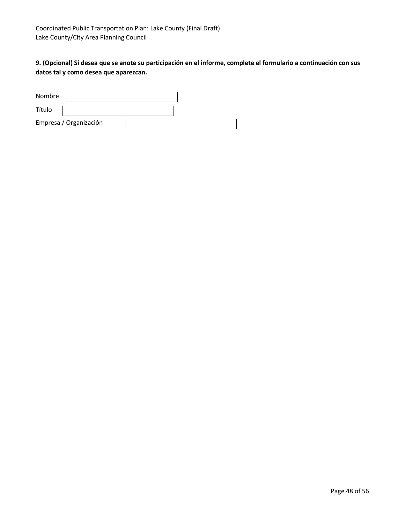**9. (Opcional) Si desea que se anote su participación en el informe, complete el formulario a continuación con sus datos tal y como desea que aparezcan.**

| Nombre |                        |  |
|--------|------------------------|--|
| Título |                        |  |
|        | Empresa / Organización |  |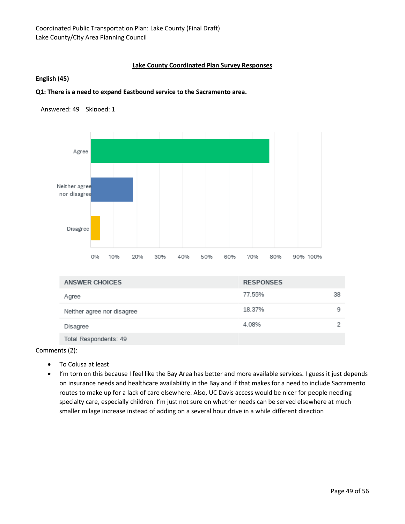#### **Lake County Coordinated Plan Survey Responses**

#### **English (45)**

#### **Q1: There is a need to expand Eastbound service to the Sacramento area.**

Answered: 49 Skipped: 1Agree Neither agree nor disagree Disagree 0% 10% 20% 30% 40% 50% 60% 70% 80% 90% 100% ANSWER CHOICES **RESPONSES** 

| <b>AIVO IVEN ONOLO</b>     | ILJI VIIJLJ |    |
|----------------------------|-------------|----|
| Agree                      | 77.55%      | 38 |
| Neither agree nor disagree | 18.37%      | 9  |
| Disagree                   | 4.08%       |    |
| Total Respondents: 49      |             |    |

#### Comments (2):

- To Colusa at least
- I'm torn on this because I feel like the Bay Area has better and more available services. I guess it just depends on insurance needs and healthcare availability in the Bay and if that makes for a need to include Sacramento routes to make up for a lack of care elsewhere. Also, UC Davis access would be nicer for people needing specialty care, especially children. I'm just not sure on whether needs can be served elsewhere at much smaller milage increase instead of adding on a several hour drive in a while different direction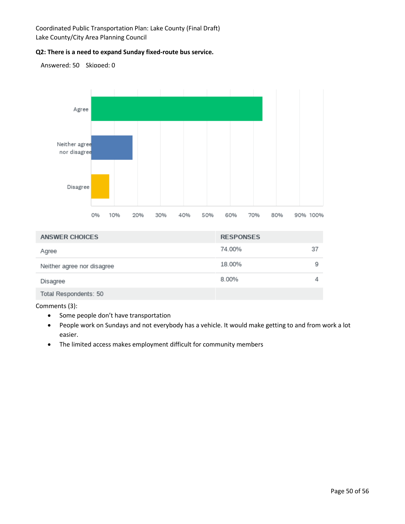#### **Q2: There is a need to expand Sunday fixed-route bus service.**

Answered: 50 Skipped: 0



| <b>ANSWER CHOICES</b>      | <b>RESPONSES</b> |    |
|----------------------------|------------------|----|
| Agree                      | 74.00%           | 37 |
| Neither agree nor disagree | 18.00%           | 9  |
| Disagree                   | 8.00%            |    |
| Total Respondents: 50      |                  |    |

Comments (3):

- Some people don't have transportation
- People work on Sundays and not everybody has a vehicle. It would make getting to and from work a lot easier.
- The limited access makes employment difficult for community members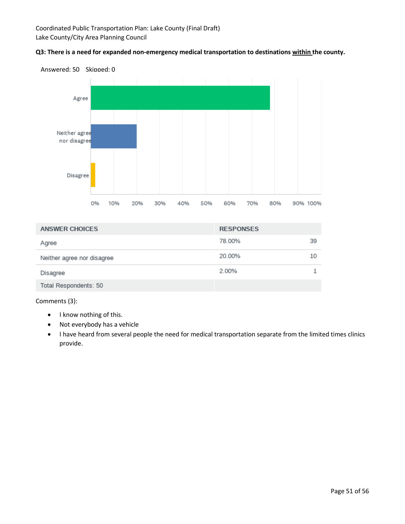#### **Q3: There is a need for expanded non-emergency medical transportation to destinations within the county.**



| ANSWER CHOICES             | <b>RESPONSES</b> |    |
|----------------------------|------------------|----|
| Agree                      | 78.00%           | 39 |
| Neither agree nor disagree | 20.00%           | 10 |
| Disagree                   | 2.00%            |    |
| Total Respondents: 50      |                  |    |

#### Comments (3):

- I know nothing of this.
- Not everybody has a vehicle
- I have heard from several people the need for medical transportation separate from the limited times clinics provide.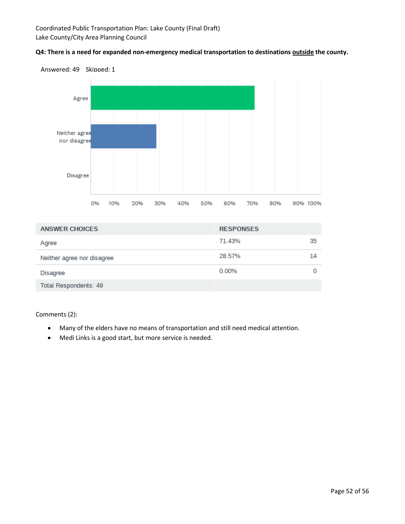#### **Q4: There is a need for expanded non-emergency medical transportation to destinations outside the county.**



| <b>ANSWER CHOICES</b>      | <b>RESPONSES</b> |    |
|----------------------------|------------------|----|
| Agree                      | 71.43%           | 35 |
| Neither agree nor disagree | 28.57%           | 14 |
| Disagree                   | 0.00%            | 0  |
| Total Respondents: 49      |                  |    |

Comments (2):

- Many of the elders have no means of transportation and still need medical attention.
- Medi Links is a good start, but more service is needed.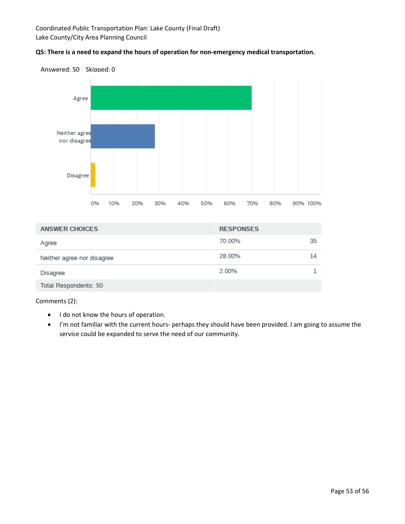



| <b>ANSWER CHOICES</b>      | <b>RESPONSES</b> |    |
|----------------------------|------------------|----|
| Agree                      | 70.00%           | 35 |
| Neither agree nor disagree | 28.00%           | 14 |
| Disagree                   | 2.00%            |    |
| Total Respondents: 50      |                  |    |

Comments (2):

- I do not know the hours of operation.
- I'm not familiar with the current hours- perhaps they should have been provided. I am going to assume the service could be expanded to serve the need of our community.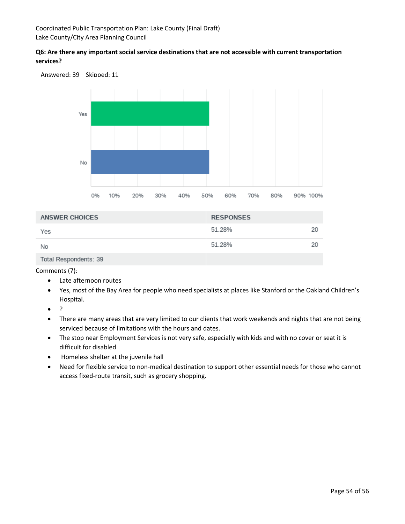#### **Q6: Are there any important social service destinations that are not accessible with current transportation services?**

Answered: 39 Skipped: 11



| ANSWER CHOICES        | <b>RESPONSES</b> |    |
|-----------------------|------------------|----|
| Yes                   | 51.28%           | 20 |
| No                    | 51.28%           | 20 |
| Total Respondents: 39 |                  |    |

#### Comments (7):

- Late afternoon routes
- Yes, most of the Bay Area for people who need specialists at places like Stanford or the Oakland Children's Hospital.
- ?
- There are many areas that are very limited to our clients that work weekends and nights that are not being serviced because of limitations with the hours and dates.
- The stop near Employment Services is not very safe, especially with kids and with no cover or seat it is difficult for disabled
- Homeless shelter at the juvenile hall
- Need for flexible service to non-medical destination to support other essential needs for those who cannot access fixed-route transit, such as grocery shopping.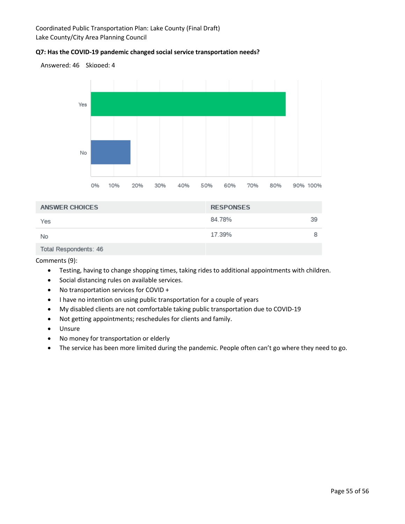#### **Q7: Has the COVID-19 pandemic changed social service transportation needs?**

Answered: 46 Skipped: 4



| ANSWER CHOICES        | <b>RESPONSES</b> |    |
|-----------------------|------------------|----|
| Yes                   | 84.78%           | 39 |
| No                    | 17.39%           | 8  |
| Total Respondents: 46 |                  |    |

Comments (9):

- Testing, having to change shopping times, taking rides to additional appointments with children.
- Social distancing rules on available services.
- No transportation services for COVID +
- I have no intention on using public transportation for a couple of years
- My disabled clients are not comfortable taking public transportation due to COVID-19
- Not getting appointments; reschedules for clients and family.
- Unsure
- No money for transportation or elderly
- The service has been more limited during the pandemic. People often can't go where they need to go.